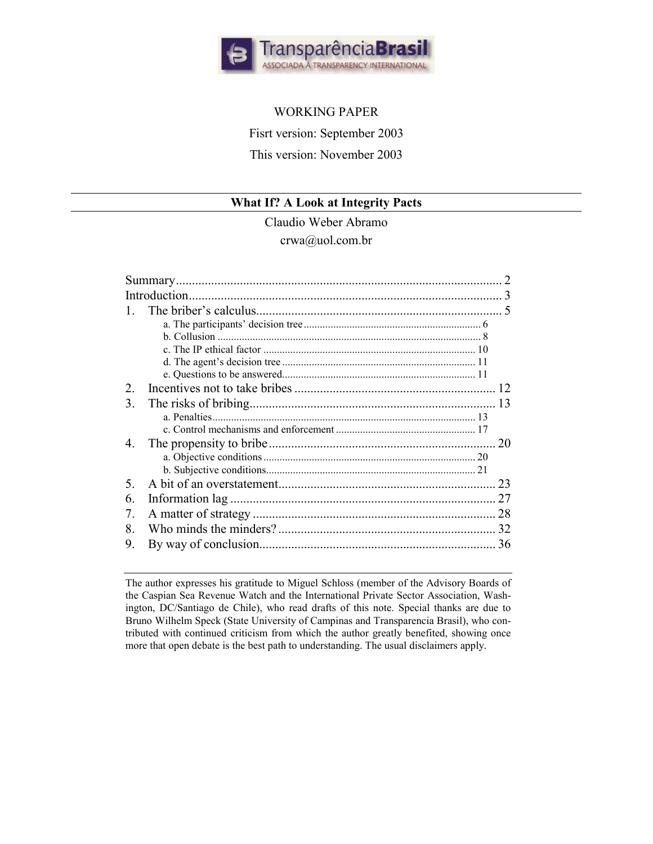

# WORKING PAPER

Fisrt version: September 2003

This version: November 2003

# **What If? A Look at Integrity Pacts**

Claudio Weber Abramo crwa@uol.com.br

| $\mathcal{D}_{\mathcal{L}}$ |  | 12 |
|-----------------------------|--|----|
| 3                           |  | 13 |
|                             |  |    |
|                             |  |    |
| 4.                          |  | 20 |
|                             |  |    |
|                             |  |    |
| 5                           |  | 23 |
| 6                           |  | 27 |
| 7.                          |  | 28 |
| 8                           |  | 32 |
| 9.                          |  | 36 |

The author expresses his gratitude to Miguel Schloss (member of the Advisory Boards of the Caspian Sea Revenue Watch and the International Private Sector Association, Washington, DC/Santiago de Chile), who read drafts of this note. Special thanks are due to Bruno Wilhelm Speck (State University of Campinas and Transparencia Brasil), who contributed with continued criticism from which the author greatly benefited, showing once more that open debate is the best path to understanding. The usual disclaimers apply.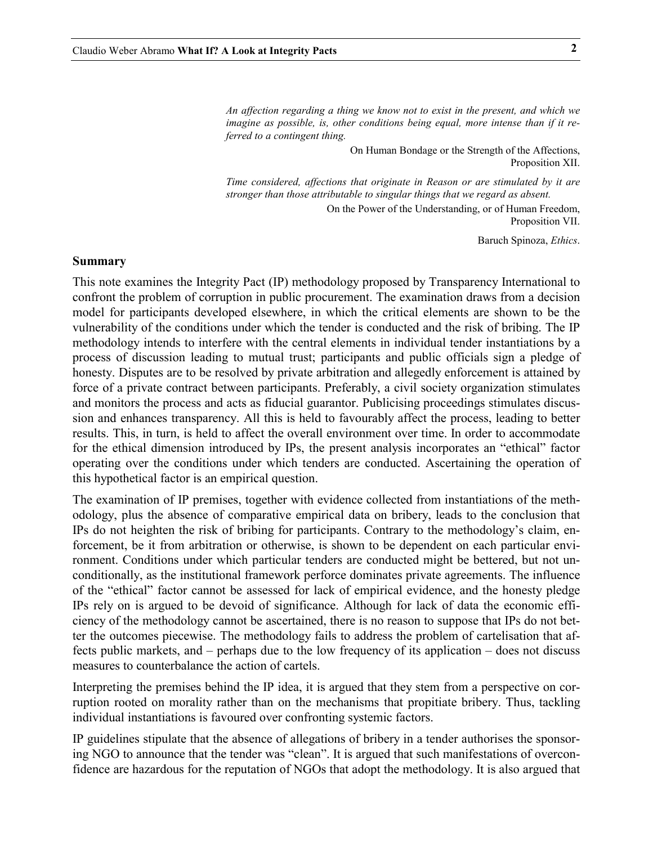<span id="page-1-0"></span>*An affection regarding a thing we know not to exist in the present, and which we imagine as possible, is, other conditions being equal, more intense than if it referred to a contingent thing.* 

> On Human Bondage or the Strength of the Affections, Proposition XII.

*Time considered, affections that originate in Reason or are stimulated by it are stronger than those attributable to singular things that we regard as absent.*

> On the Power of the Understanding, or of Human Freedom, Proposition VII.

> > Baruch Spinoza, *Ethics*.

#### **Summary**

This note examines the Integrity Pact (IP) methodology proposed by Transparency International to confront the problem of corruption in public procurement. The examination draws from a decision model for participants developed elsewhere, in which the critical elements are shown to be the vulnerability of the conditions under which the tender is conducted and the risk of bribing. The IP methodology intends to interfere with the central elements in individual tender instantiations by a process of discussion leading to mutual trust; participants and public officials sign a pledge of honesty. Disputes are to be resolved by private arbitration and allegedly enforcement is attained by force of a private contract between participants. Preferably, a civil society organization stimulates and monitors the process and acts as fiducial guarantor. Publicising proceedings stimulates discussion and enhances transparency. All this is held to favourably affect the process, leading to better results. This, in turn, is held to affect the overall environment over time. In order to accommodate for the ethical dimension introduced by IPs, the present analysis incorporates an "ethical" factor operating over the conditions under which tenders are conducted. Ascertaining the operation of this hypothetical factor is an empirical question.

The examination of IP premises, together with evidence collected from instantiations of the methodology, plus the absence of comparative empirical data on bribery, leads to the conclusion that IPs do not heighten the risk of bribing for participants. Contrary to the methodology's claim, enforcement, be it from arbitration or otherwise, is shown to be dependent on each particular environment. Conditions under which particular tenders are conducted might be bettered, but not unconditionally, as the institutional framework perforce dominates private agreements. The influence of the "ethical" factor cannot be assessed for lack of empirical evidence, and the honesty pledge IPs rely on is argued to be devoid of significance. Although for lack of data the economic efficiency of the methodology cannot be ascertained, there is no reason to suppose that IPs do not better the outcomes piecewise. The methodology fails to address the problem of cartelisation that affects public markets, and – perhaps due to the low frequency of its application – does not discuss measures to counterbalance the action of cartels.

Interpreting the premises behind the IP idea, it is argued that they stem from a perspective on corruption rooted on morality rather than on the mechanisms that propitiate bribery. Thus, tackling individual instantiations is favoured over confronting systemic factors.

IP guidelines stipulate that the absence of allegations of bribery in a tender authorises the sponsoring NGO to announce that the tender was "clean". It is argued that such manifestations of overconfidence are hazardous for the reputation of NGOs that adopt the methodology. It is also argued that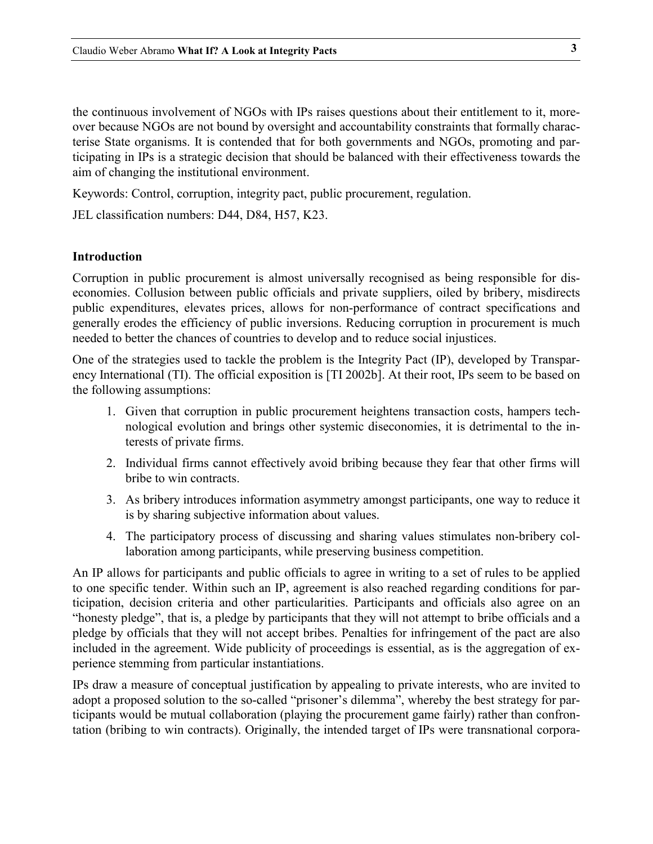<span id="page-2-0"></span>the continuous involvement of NGOs with IPs raises questions about their entitlement to it, moreover because NGOs are not bound by oversight and accountability constraints that formally characterise State organisms. It is contended that for both governments and NGOs, promoting and participating in IPs is a strategic decision that should be balanced with their effectiveness towards the aim of changing the institutional environment.

Keywords: Control, corruption, integrity pact, public procurement, regulation.

JEL classification numbers: D44, D84, H57, K23.

#### **Introduction**

Corruption in public procurement is almost universally recognised as being responsible for diseconomies. Collusion between public officials and private suppliers, oiled by bribery, misdirects public expenditures, elevates prices, allows for non-performance of contract specifications and generally erodes the efficiency of public inversions. Reducing corruption in procurement is much needed to better the chances of countries to develop and to reduce social injustices.

One of the strategies used to tackle the problem is the Integrity Pact (IP), developed by Transparency International (TI). The official exposition is [TI 2002b]. At their root, IPs seem to be based on the following assumptions:

- 1. Given that corruption in public procurement heightens transaction costs, hampers technological evolution and brings other systemic diseconomies, it is detrimental to the interests of private firms.
- 2. Individual firms cannot effectively avoid bribing because they fear that other firms will bribe to win contracts.
- 3. As bribery introduces information asymmetry amongst participants, one way to reduce it is by sharing subjective information about values.
- 4. The participatory process of discussing and sharing values stimulates non-bribery collaboration among participants, while preserving business competition.

An IP allows for participants and public officials to agree in writing to a set of rules to be applied to one specific tender. Within such an IP, agreement is also reached regarding conditions for participation, decision criteria and other particularities. Participants and officials also agree on an "honesty pledge", that is, a pledge by participants that they will not attempt to bribe officials and a pledge by officials that they will not accept bribes. Penalties for infringement of the pact are also included in the agreement. Wide publicity of proceedings is essential, as is the aggregation of experience stemming from particular instantiations.

IPs draw a measure of conceptual justification by appealing to private interests, who are invited to adopt a proposed solution to the so-called "prisoner's dilemma", whereby the best strategy for participants would be mutual collaboration (playing the procurement game fairly) rather than confrontation (bribing to win contracts). Originally, the intended target of IPs were transnational corpora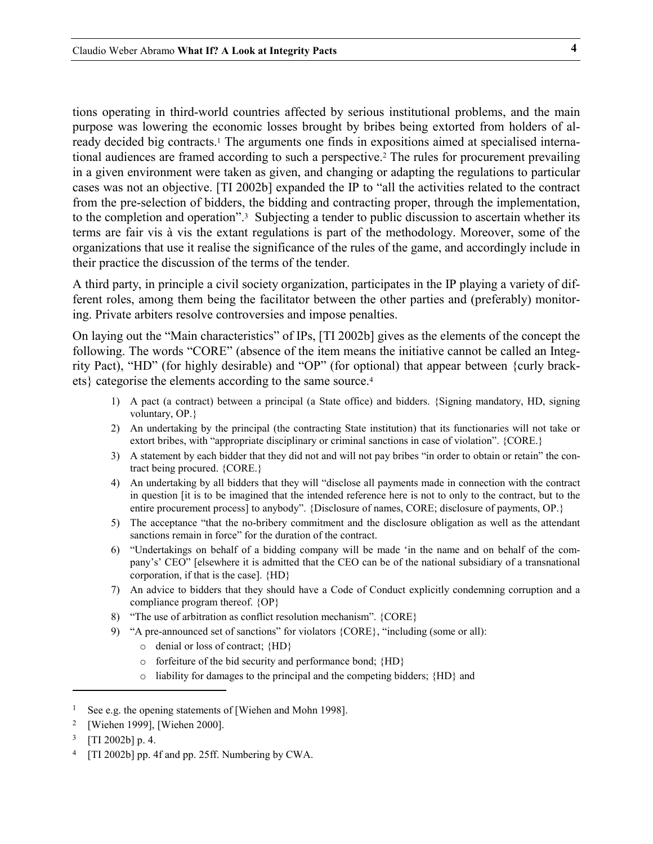tions operating in third-world countries affected by serious institutional problems, and the main purpose was lowering the economic losses brought by bribes being extorted from holders of already decided big contracts[.1](#page-3-0) The arguments one finds in expositions aimed at specialised international audiences are framed according to such a perspective[.2](#page-3-1) The rules for procurement prevailing in a given environment were taken as given, and changing or adapting the regulations to particular cases was not an objective. [TI 2002b] expanded the IP to "all the activities related to the contract from the pre-selection of bidders, the bidding and contracting proper, through the implementation, to the completion and operation"[.3](#page-3-2) Subjecting a tender to public discussion to ascertain whether its terms are fair vis à vis the extant regulations is part of the methodology. Moreover, some of the organizations that use it realise the significance of the rules of the game, and accordingly include in their practice the discussion of the terms of the tender.

A third party, in principle a civil society organization, participates in the IP playing a variety of different roles, among them being the facilitator between the other parties and (preferably) monitoring. Private arbiters resolve controversies and impose penalties.

On laying out the "Main characteristics" of IPs, [TI 2002b] gives as the elements of the concept the following. The words "CORE" (absence of the item means the initiative cannot be called an Integrity Pact), "HD" (for highly desirable) and "OP" (for optional) that appear between {curly brackets} categorise the elements according to the same source.[4](#page-3-3)

- 1) A pact (a contract) between a principal (a State office) and bidders. {Signing mandatory, HD, signing voluntary, OP.}
- 2) An undertaking by the principal (the contracting State institution) that its functionaries will not take or extort bribes, with "appropriate disciplinary or criminal sanctions in case of violation". {CORE.}
- 3) A statement by each bidder that they did not and will not pay bribes "in order to obtain or retain" the contract being procured. {CORE.}
- 4) An undertaking by all bidders that they will "disclose all payments made in connection with the contract in question [it is to be imagined that the intended reference here is not to only to the contract, but to the entire procurement process] to anybody". {Disclosure of names, CORE; disclosure of payments, OP.}
- 5) The acceptance "that the no-bribery commitment and the disclosure obligation as well as the attendant sanctions remain in force" for the duration of the contract.
- 6) "Undertakings on behalf of a bidding company will be made 'in the name and on behalf of the company's' CEO" [elsewhere it is admitted that the CEO can be of the national subsidiary of a transnational corporation, if that is the case]. {HD}
- 7) An advice to bidders that they should have a Code of Conduct explicitly condemning corruption and a compliance program thereof. {OP}
- 8) "The use of arbitration as conflict resolution mechanism". {CORE}
- 9) "A pre-announced set of sanctions" for violators {CORE}, "including (some or all):
	- o denial or loss of contract; {HD}
	- o forfeiture of the bid security and performance bond; {HD}
	- o liability for damages to the principal and the competing bidders; {HD} and

<span id="page-3-0"></span><sup>&</sup>lt;sup>1</sup> See e.g. the opening statements of [Wiehen and Mohn 1998].

<span id="page-3-1"></span><sup>2 [</sup>Wiehen 1999], [Wiehen 2000].

<span id="page-3-2"></span> $3$  [TI 2002b] p. 4.

<span id="page-3-3"></span><sup>4 [</sup>TI 2002b] pp. 4f and pp. 25ff. Numbering by CWA.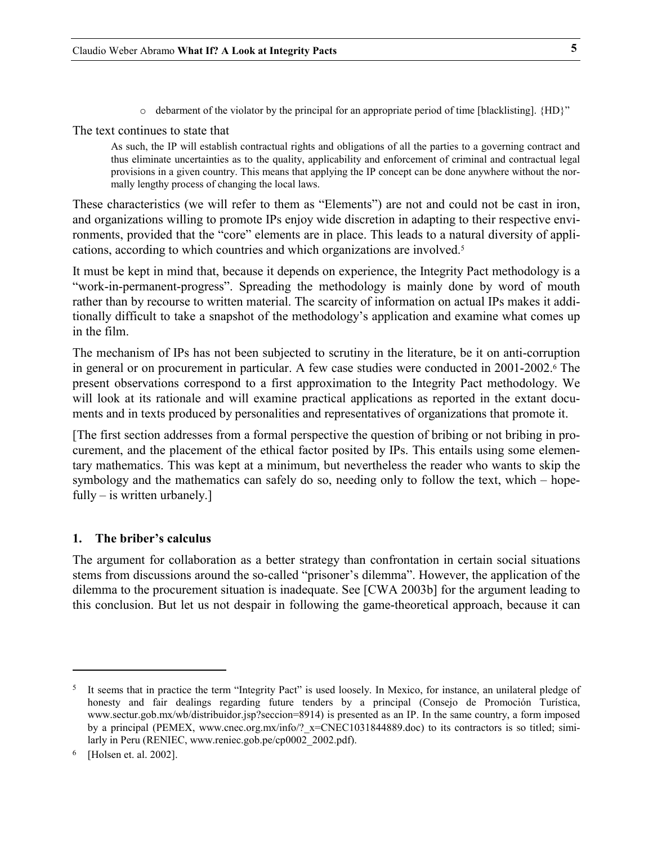o debarment of the violator by the principal for an appropriate period of time [blacklisting]. {HD}"

<span id="page-4-0"></span>The text continues to state that

<span id="page-4-3"></span>As such, the IP will establish contractual rights and obligations of all the parties to a governing contract and thus eliminate uncertainties as to the quality, applicability and enforcement of criminal and contractual legal provisions in a given country. This means that applying the IP concept can be done anywhere without the normally lengthy process of changing the local laws.

These characteristics (we will refer to them as "Elements") are not and could not be cast in iron, and organizations willing to promote IPs enjoy wide discretion in adapting to their respective environments, provided that the "core" elements are in place. This leads to a natural diversity of applications, according to which countries and which organizations are involved[.5](#page-4-1)

It must be kept in mind that, because it depends on experience, the Integrity Pact methodology is a "work-in-permanent-progress". Spreading the methodology is mainly done by word of mouth rather than by recourse to written material. The scarcity of information on actual IPs makes it additionally difficult to take a snapshot of the methodology's application and examine what comes up in the film.

The mechanism of IPs has not been subjected to scrutiny in the literature, be it on anti-corruption in general or on procurement in particular. A few case studies were conducted in 2001-2002.[6](#page-4-2) The present observations correspond to a first approximation to the Integrity Pact methodology. We will look at its rationale and will examine practical applications as reported in the extant documents and in texts produced by personalities and representatives of organizations that promote it.

[The first section addresses from a formal perspective the question of bribing or not bribing in procurement, and the placement of the ethical factor posited by IPs. This entails using some elementary mathematics. This was kept at a minimum, but nevertheless the reader who wants to skip the symbology and the mathematics can safely do so, needing only to follow the text, which – hopefully – is written urbanely.]

### **1. The briber's calculus**

The argument for collaboration as a better strategy than confrontation in certain social situations stems from discussions around the so-called "prisoner's dilemma". However, the application of the dilemma to the procurement situation is inadequate. See [CWA 2003b] for the argument leading to this conclusion. But let us not despair in following the game-theoretical approach, because it can

<span id="page-4-1"></span><sup>&</sup>lt;sup>5</sup> It seems that in practice the term "Integrity Pact" is used loosely. In Mexico, for instance, an unilateral pledge of honesty and fair dealings regarding future tenders by a principal (Consejo de Promoción Turística, www.sectur.gob.mx/wb/distribuidor.jsp?seccion=8914) is presented as an IP. In the same country, a form imposed by a principal (PEMEX, www.cnec.org.mx/info/? $x=CNEC1031844889.doc$ ) to its contractors is so titled; similarly in Peru (RENIEC, www.reniec.gob.pe/cp0002\_2002.pdf).

<span id="page-4-2"></span><sup>6 [</sup>Holsen et. al. 2002].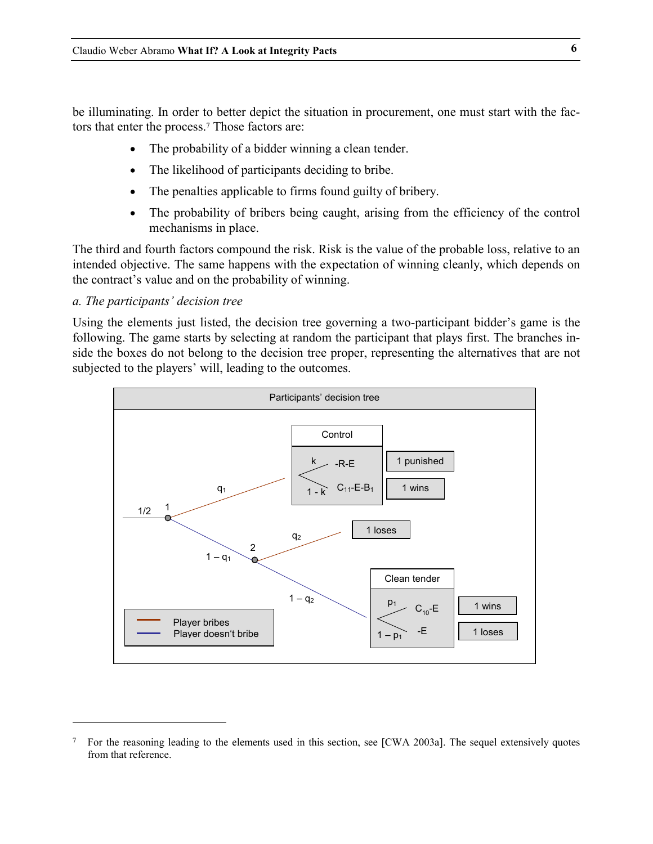<span id="page-5-0"></span>be illuminating. In order to better depict the situation in procurement, one must start with the factors that enter the process.[7 T](#page-5-1)hose factors are:

- $\bullet$ The probability of a bidder winning a clean tender.
- The likelihood of participants deciding to bribe.
- The penalties applicable to firms found guilty of bribery.
- $\bullet$ The probability of bribers being caught, arising from the efficiency of the control mechanisms in place.

The third and fourth factors compound the risk. Risk is the value of the probable loss, relative to an intended objective. The same happens with the expectation of winning cleanly, which depends on the contract's value and on the probability of winning.

## *a. The participants' decision tree*

j

Using the elements just listed, the decision tree governing a two-participant bidder's game is the following. The game starts by selecting at random the participant that plays first. The branches inside the boxes do not belong to the decision tree proper, representing the alternatives that are not subjected to the players' will, leading to the outcomes.



<span id="page-5-1"></span> $7$  For the reasoning leading to the elements used in this section, see [CWA 2003a]. The sequel extensively quotes from that reference.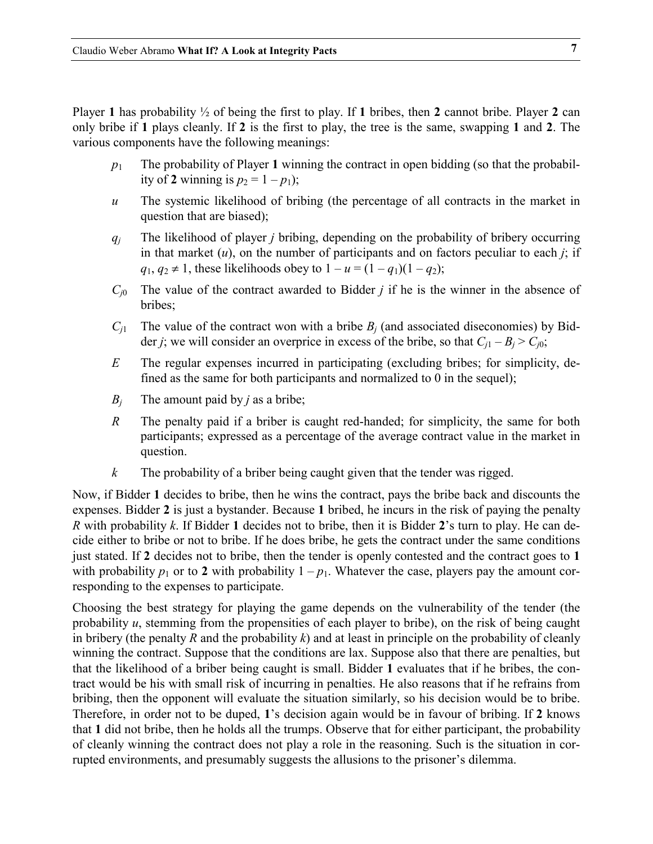Player **1** has probability ½ of being the first to play. If **1** bribes, then **2** cannot bribe. Player **2** can only bribe if **1** plays cleanly. If **2** is the first to play, the tree is the same, swapping **1** and **2**. The various components have the following meanings:

- $p_1$  The probability of Player 1 winning the contract in open bidding (so that the probability of 2 winning is  $p_2 = 1 - p_1$ ;
- *u* The systemic likelihood of bribing (the percentage of all contracts in the market in question that are biased);
- *qj* The likelihood of player *j* bribing, depending on the probability of bribery occurring in that market  $(u)$ , on the number of participants and on factors peculiar to each  $j$ ; if  $q_1, q_2 \neq 1$ , these likelihoods obey to  $1 - u = (1 - q_1)(1 - q_2)$ ;
- *Cj*<sup>0</sup> The value of the contract awarded to Bidder *j* if he is the winner in the absence of bribes;
- $C_{i1}$  The value of the contract won with a bribe  $B_i$  (and associated diseconomies) by Bidder *j*; we will consider an overprice in excess of the bribe, so that  $C_{i1} - B_i > C_{i0}$ ;
- *E* The regular expenses incurred in participating (excluding bribes; for simplicity, defined as the same for both participants and normalized to 0 in the sequel);
- $B_i$  The amount paid by *j* as a bribe;
- *R* The penalty paid if a briber is caught red-handed; for simplicity, the same for both participants; expressed as a percentage of the average contract value in the market in question.
- *k* The probability of a briber being caught given that the tender was rigged.

Now, if Bidder **1** decides to bribe, then he wins the contract, pays the bribe back and discounts the expenses. Bidder **2** is just a bystander. Because **1** bribed, he incurs in the risk of paying the penalty *R* with probability *k*. If Bidder **1** decides not to bribe, then it is Bidder **2**'s turn to play. He can decide either to bribe or not to bribe. If he does bribe, he gets the contract under the same conditions just stated. If **2** decides not to bribe, then the tender is openly contested and the contract goes to **1** with probability  $p_1$  or to 2 with probability  $1 - p_1$ . Whatever the case, players pay the amount corresponding to the expenses to participate.

Choosing the best strategy for playing the game depends on the vulnerability of the tender (the probability *u*, stemming from the propensities of each player to bribe), on the risk of being caught in bribery (the penalty *R* and the probability *k*) and at least in principle on the probability of cleanly winning the contract. Suppose that the conditions are lax. Suppose also that there are penalties, but that the likelihood of a briber being caught is small. Bidder **1** evaluates that if he bribes, the contract would be his with small risk of incurring in penalties. He also reasons that if he refrains from bribing, then the opponent will evaluate the situation similarly, so his decision would be to bribe. Therefore, in order not to be duped, **1**'s decision again would be in favour of bribing. If **2** knows that **1** did not bribe, then he holds all the trumps. Observe that for either participant, the probability of cleanly winning the contract does not play a role in the reasoning. Such is the situation in corrupted environments, and presumably suggests the allusions to the prisoner's dilemma.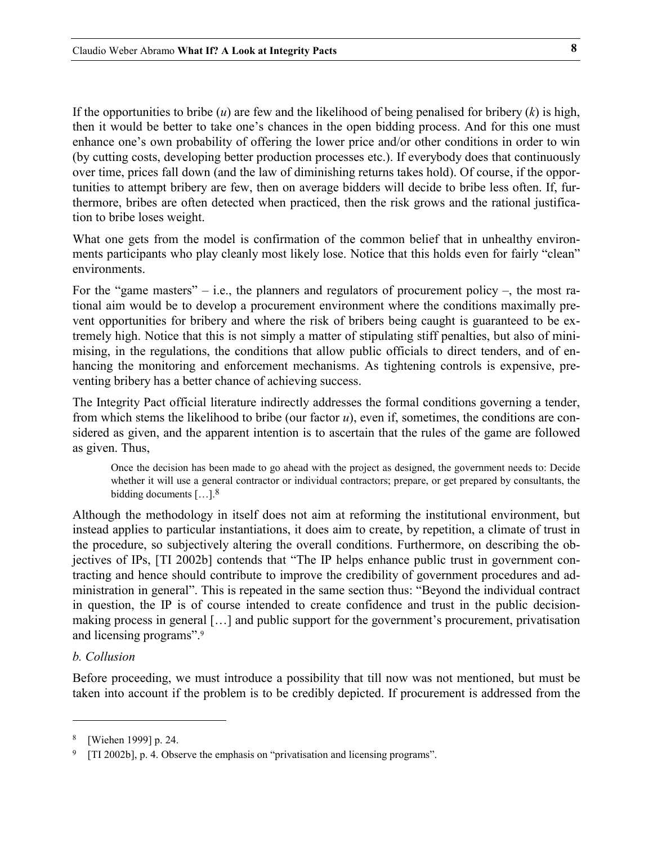<span id="page-7-0"></span>If the opportunities to bribe  $(u)$  are few and the likelihood of being penalised for bribery  $(k)$  is high, then it would be better to take one's chances in the open bidding process. And for this one must enhance one's own probability of offering the lower price and/or other conditions in order to win (by cutting costs, developing better production processes etc.). If everybody does that continuously over time, prices fall down (and the law of diminishing returns takes hold). Of course, if the opportunities to attempt bribery are few, then on average bidders will decide to bribe less often. If, furthermore, bribes are often detected when practiced, then the risk grows and the rational justification to bribe loses weight.

What one gets from the model is confirmation of the common belief that in unhealthy environments participants who play cleanly most likely lose. Notice that this holds even for fairly "clean" environments.

<span id="page-7-4"></span>For the "game masters" – i.e., the planners and regulators of procurement policy –, the most rational aim would be to develop a procurement environment where the conditions maximally prevent opportunities for bribery and where the risk of bribers being caught is guaranteed to be extremely high. Notice that this is not simply a matter of stipulating stiff penalties, but also of minimising, in the regulations, the conditions that allow public officials to direct tenders, and of enhancing the monitoring and enforcement mechanisms. As tightening controls is expensive, preventing bribery has a better chance of achieving success.

The Integrity Pact official literature indirectly addresses the formal conditions governing a tender, from which stems the likelihood to bribe (our factor *u*), even if, sometimes, the conditions are considered as given, and the apparent intention is to ascertain that the rules of the game are followed as given. Thus,

<span id="page-7-3"></span>Once the decision has been made to go ahead with the project as designed, the government needs to: Decide whether it will use a general contractor or individual contractors; prepare, or get prepared by consultants, the bidding documents  $[\dots]$ <sup>[8](#page-7-1)</sup>

Although the methodology in itself does not aim at reforming the institutional environment, but instead applies to particular instantiations, it does aim to create, by repetition, a climate of trust in the procedure, so subjectively altering the overall conditions. Furthermore, on describing the objectives of IPs, [TI 2002b] contends that "The IP helps enhance public trust in government contracting and hence should contribute to improve the credibility of government procedures and administration in general". This is repeated in the same section thus: "Beyond the individual contract in question, the IP is of course intended to create confidence and trust in the public decisionmaking process in general […] and public support for the government's procurement, privatisation and licensing programs".[9](#page-7-2)

## *b. Collusion*

j

Before proceeding, we must introduce a possibility that till now was not mentioned, but must be taken into account if the problem is to be credibly depicted. If procurement is addressed from the

<span id="page-7-1"></span><sup>8 [</sup>Wiehen 1999] p. 24.

<span id="page-7-2"></span><sup>9 [</sup>TI 2002b], p. 4. Observe the emphasis on "privatisation and licensing programs".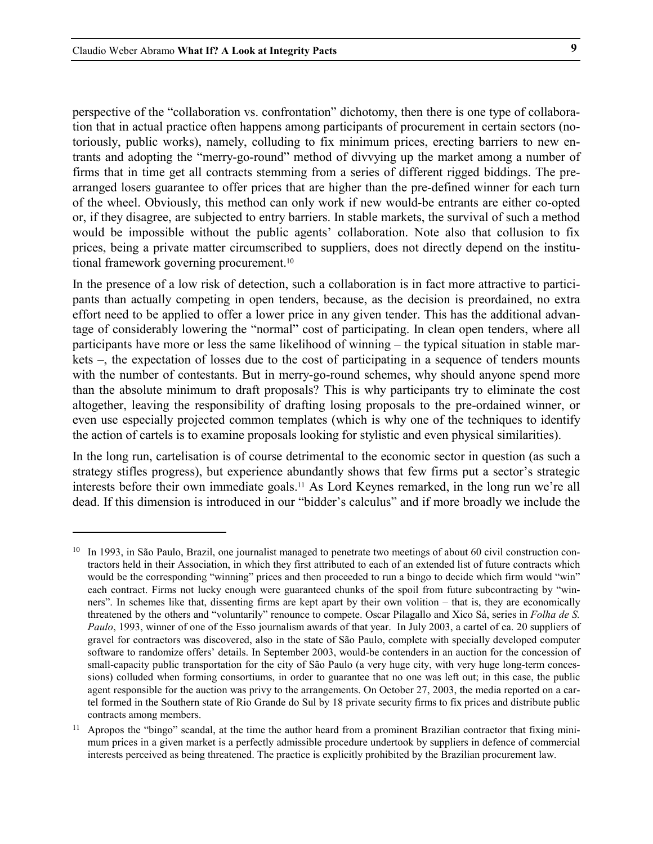$\ddot{ }$ 

perspective of the "collaboration vs. confrontation" dichotomy, then there is one type of collaboration that in actual practice often happens among participants of procurement in certain sectors (notoriously, public works), namely, colluding to fix minimum prices, erecting barriers to new entrants and adopting the "merry-go-round" method of divvying up the market among a number of firms that in time get all contracts stemming from a series of different rigged biddings. The prearranged losers guarantee to offer prices that are higher than the pre-defined winner for each turn of the wheel. Obviously, this method can only work if new would-be entrants are either co-opted or, if they disagree, are subjected to entry barriers. In stable markets, the survival of such a method would be impossible without the public agents' collaboration. Note also that collusion to fix prices, being a private matter circumscribed to suppliers, does not directly depend on the institutional framework governing procurement.[10](#page-8-0)

In the presence of a low risk of detection, such a collaboration is in fact more attractive to participants than actually competing in open tenders, because, as the decision is preordained, no extra effort need to be applied to offer a lower price in any given tender. This has the additional advantage of considerably lowering the "normal" cost of participating. In clean open tenders, where all participants have more or less the same likelihood of winning – the typical situation in stable markets –, the expectation of losses due to the cost of participating in a sequence of tenders mounts with the number of contestants. But in merry-go-round schemes, why should anyone spend more than the absolute minimum to draft proposals? This is why participants try to eliminate the cost altogether, leaving the responsibility of drafting losing proposals to the pre-ordained winner, or even use especially projected common templates (which is why one of the techniques to identify the action of cartels is to examine proposals looking for stylistic and even physical similarities).

In the long run, cartelisation is of course detrimental to the economic sector in question (as such a strategy stifles progress), but experience abundantly shows that few firms put a sector's strategic interests before their own immediate goals[.11](#page-8-1) As Lord Keynes remarked, in the long run we're all dead. If this dimension is introduced in our "bidder's calculus" and if more broadly we include the

<span id="page-8-0"></span><sup>&</sup>lt;sup>10</sup> In 1993, in São Paulo, Brazil, one journalist managed to penetrate two meetings of about 60 civil construction contractors held in their Association, in which they first attributed to each of an extended list of future contracts which would be the corresponding "winning" prices and then proceeded to run a bingo to decide which firm would "win" each contract. Firms not lucky enough were guaranteed chunks of the spoil from future subcontracting by "winners". In schemes like that, dissenting firms are kept apart by their own volition – that is, they are economically threatened by the others and "voluntarily" renounce to compete. Oscar Pilagallo and Xico Sá, series in *Folha de S. Paulo*, 1993, winner of one of the Esso journalism awards of that year. In July 2003, a cartel of ca. 20 suppliers of gravel for contractors was discovered, also in the state of São Paulo, complete with specially developed computer software to randomize offers' details. In September 2003, would-be contenders in an auction for the concession of small-capacity public transportation for the city of São Paulo (a very huge city, with very huge long-term concessions) colluded when forming consortiums, in order to guarantee that no one was left out; in this case, the public agent responsible for the auction was privy to the arrangements. On October 27, 2003, the media reported on a cartel formed in the Southern state of Rio Grande do Sul by 18 private security firms to fix prices and distribute public contracts among members.

<span id="page-8-1"></span><sup>&</sup>lt;sup>11</sup> Apropos the "bingo" scandal, at the time the author heard from a prominent Brazilian contractor that fixing minimum prices in a given market is a perfectly admissible procedure undertook by suppliers in defence of commercial interests perceived as being threatened. The practice is explicitly prohibited by the Brazilian procurement law.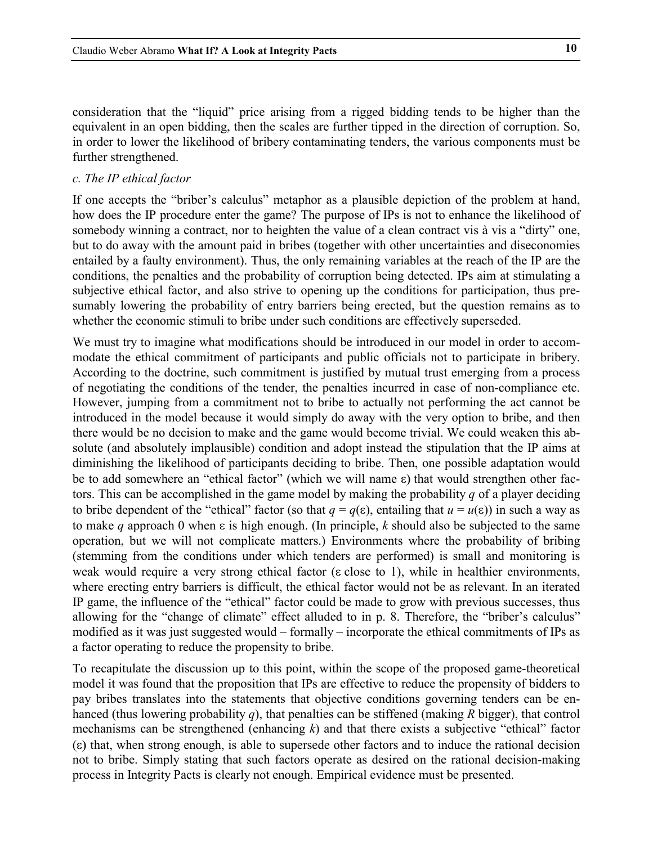<span id="page-9-0"></span>consideration that the "liquid" price arising from a rigged bidding tends to be higher than the equivalent in an open bidding, then the scales are further tipped in the direction of corruption. So, in order to lower the likelihood of bribery contaminating tenders, the various components must be further strengthened.

### *c. The IP ethical factor*

If one accepts the "briber's calculus" metaphor as a plausible depiction of the problem at hand, how does the IP procedure enter the game? The purpose of IPs is not to enhance the likelihood of somebody winning a contract, nor to heighten the value of a clean contract vis à vis a "dirty" one, but to do away with the amount paid in bribes (together with other uncertainties and diseconomies entailed by a faulty environment). Thus, the only remaining variables at the reach of the IP are the conditions, the penalties and the probability of corruption being detected. IPs aim at stimulating a subjective ethical factor, and also strive to opening up the conditions for participation, thus presumably lowering the probability of entry barriers being erected, but the question remains as to whether the economic stimuli to bribe under such conditions are effectively superseded.

We must try to imagine what modifications should be introduced in our model in order to accommodate the ethical commitment of participants and public officials not to participate in bribery. According to the doctrine, such commitment is justified by mutual trust emerging from a process of negotiating the conditions of the tender, the penalties incurred in case of non-compliance etc. However, jumping from a commitment not to bribe to actually not performing the act cannot be introduced in the model because it would simply do away with the very option to bribe, and then there would be no decision to make and the game would become trivial. We could weaken this absolute (and absolutely implausible) condition and adopt instead the stipulation that the IP aims at diminishing the likelihood of participants deciding to bribe. Then, one possible adaptation would be to add somewhere an "ethical factor" (which we will name  $\varepsilon$ ) that would strengthen other factors. This can be accomplished in the game model by making the probability *q* of a player deciding to bribe dependent of the "ethical" factor (so that  $q = q(\epsilon)$ , entailing that  $u = u(\epsilon)$ ) in such a way as to make  $q$  approach 0 when  $\varepsilon$  is high enough. (In principle,  $k$  should also be subjected to the same operation, but we will not complicate matters.) Environments where the probability of bribing (stemming from the conditions under which tenders are performed) is small and monitoring is weak would require a very strong ethical factor ( $\varepsilon$  close to 1), while in healthier environments, where erecting entry barriers is difficult, the ethical factor would not be as relevant. In an iterated IP game, the influence of the "ethical" factor could be made to grow with previous successes, thus allowing for the "change of climate" effect alluded to in p. [8.](#page-7-3) Therefore, the "briber's calculus" modified as it was just suggested would – formally – incorporate the ethical commitments of IPs as a factor operating to reduce the propensity to bribe.

To recapitulate the discussion up to this point, within the scope of the proposed game-theoretical model it was found that the proposition that IPs are effective to reduce the propensity of bidders to pay bribes translates into the statements that objective conditions governing tenders can be enhanced (thus lowering probability *q*), that penalties can be stiffened (making *R* bigger), that control mechanisms can be strengthened (enhancing *k*) and that there exists a subjective "ethical" factor  $(\epsilon)$  that, when strong enough, is able to supersede other factors and to induce the rational decision not to bribe. Simply stating that such factors operate as desired on the rational decision-making process in Integrity Pacts is clearly not enough. Empirical evidence must be presented.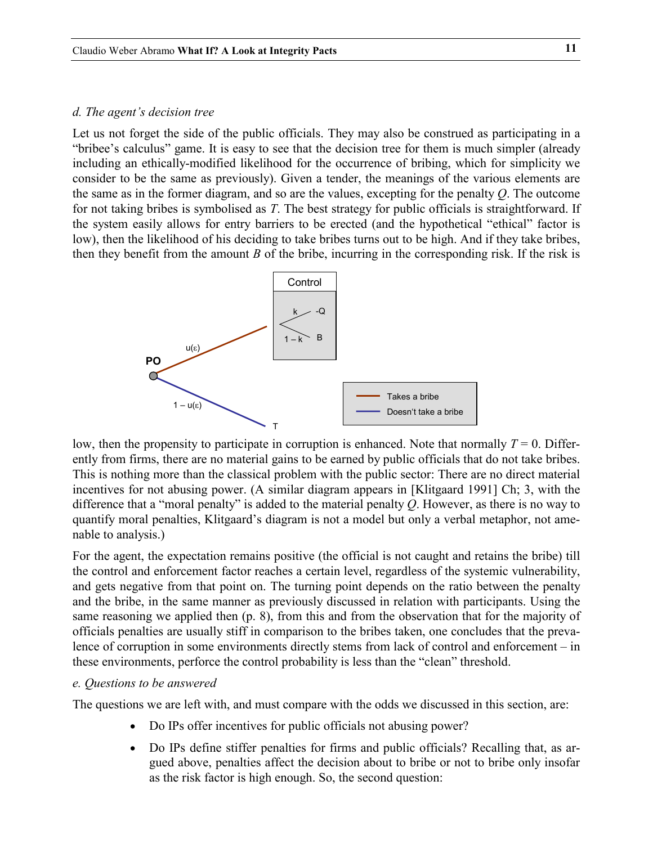#### <span id="page-10-0"></span>*d. The agent's decision tree*

Let us not forget the side of the public officials. They may also be construed as participating in a "bribee's calculus" game. It is easy to see that the decision tree for them is much simpler (already including an ethically-modified likelihood for the occurrence of bribing, which for simplicity we consider to be the same as previously). Given a tender, the meanings of the various elements are the same as in the former diagram, and so are the values, excepting for the penalty *Q*. The outcome for not taking bribes is symbolised as *T*. The best strategy for public officials is straightforward. If the system easily allows for entry barriers to be erected (and the hypothetical "ethical" factor is low), then the likelihood of his deciding to take bribes turns out to be high. And if they take bribes, then they benefit from the amount *B* of the bribe, incurring in the corresponding risk. If the risk is



low, then the propensity to participate in corruption is enhanced. Note that normally  $T = 0$ . Differently from firms, there are no material gains to be earned by public officials that do not take bribes. This is nothing more than the classical problem with the public sector: There are no direct material incentives for not abusing power. (A similar diagram appears in [Klitgaard 1991] Ch; 3, with the difference that a "moral penalty" is added to the material penalty *Q*. However, as there is no way to quantify moral penalties, Klitgaard's diagram is not a model but only a verbal metaphor, not amenable to analysis.)

For the agent, the expectation remains positive (the official is not caught and retains the bribe) till the control and enforcement factor reaches a certain level, regardless of the systemic vulnerability, and gets negative from that point on. The turning point depends on the ratio between the penalty and the bribe, in the same manner as previously discussed in relation with participants. Using the same reasoning we applied then (p. [8\)](#page-7-4), from this and from the observation that for the majority of officials penalties are usually stiff in comparison to the bribes taken, one concludes that the prevalence of corruption in some environments directly stems from lack of control and enforcement – in these environments, perforce the control probability is less than the "clean" threshold.

### *e. Questions to be answered*

The questions we are left with, and must compare with the odds we discussed in this section, are:

- Do IPs offer incentives for public officials not abusing power?
- Do IPs define stiffer penalties for firms and public officials? Recalling that, as argued above, penalties affect the decision about to bribe or not to bribe only insofar as the risk factor is high enough. So, the second question: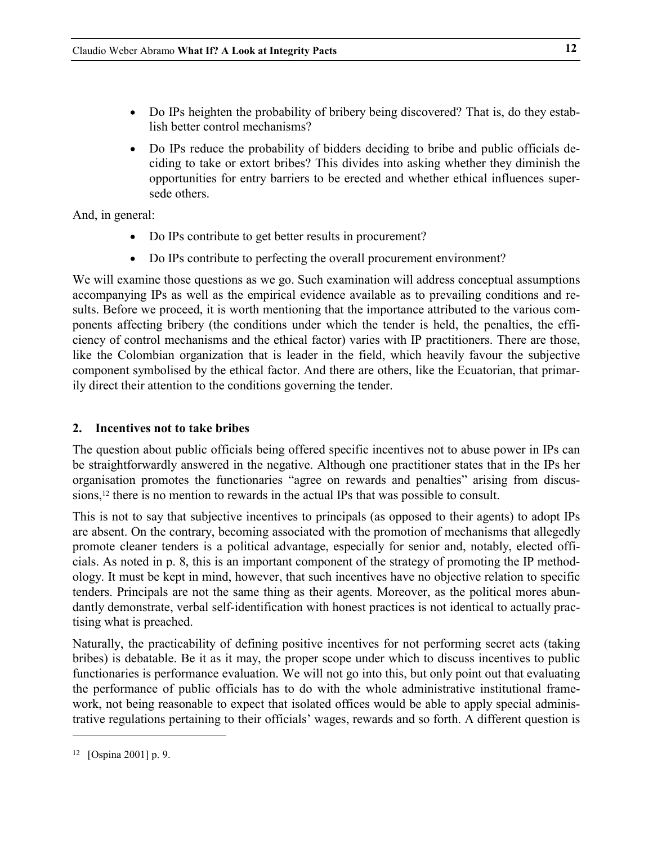- <span id="page-11-0"></span>- Do IPs heighten the probability of bribery being discovered? That is, do they establish better control mechanisms?
- Do IPs reduce the probability of bidders deciding to bribe and public officials deciding to take or extort bribes? This divides into asking whether they diminish the opportunities for entry barriers to be erected and whether ethical influences supersede others.

And, in general:

- $\bullet$ Do IPs contribute to get better results in procurement?
- $\bullet$ Do IPs contribute to perfecting the overall procurement environment?

We will examine those questions as we go. Such examination will address conceptual assumptions accompanying IPs as well as the empirical evidence available as to prevailing conditions and results. Before we proceed, it is worth mentioning that the importance attributed to the various components affecting bribery (the conditions under which the tender is held, the penalties, the efficiency of control mechanisms and the ethical factor) varies with IP practitioners. There are those, like the Colombian organization that is leader in the field, which heavily favour the subjective component symbolised by the ethical factor. And there are others, like the Ecuatorian, that primarily direct their attention to the conditions governing the tender.

# **2. Incentives not to take bribes**

The question about public officials being offered specific incentives not to abuse power in IPs can be straightforwardly answered in the negative. Although one practitioner states that in the IPs her organisation promotes the functionaries "agree on rewards and penalties" arising from discussions,<sup>12</sup> there is no mention to rewards in the actual IPs that was possible to consult.

This is not to say that subjective incentives to principals (as opposed to their agents) to adopt IPs are absent. On the contrary, becoming associated with the promotion of mechanisms that allegedly promote cleaner tenders is a political advantage, especially for senior and, notably, elected officials. As noted in p. [8,](#page-7-3) this is an important component of the strategy of promoting the IP methodology. It must be kept in mind, however, that such incentives have no objective relation to specific tenders. Principals are not the same thing as their agents. Moreover, as the political mores abundantly demonstrate, verbal self-identification with honest practices is not identical to actually practising what is preached.

Naturally, the practicability of defining positive incentives for not performing secret acts (taking bribes) is debatable. Be it as it may, the proper scope under which to discuss incentives to public functionaries is performance evaluation. We will not go into this, but only point out that evaluating the performance of public officials has to do with the whole administrative institutional framework, not being reasonable to expect that isolated offices would be able to apply special administrative regulations pertaining to their officials' wages, rewards and so forth. A different question is

<span id="page-11-1"></span><sup>12 [</sup>Ospina 2001] p. 9.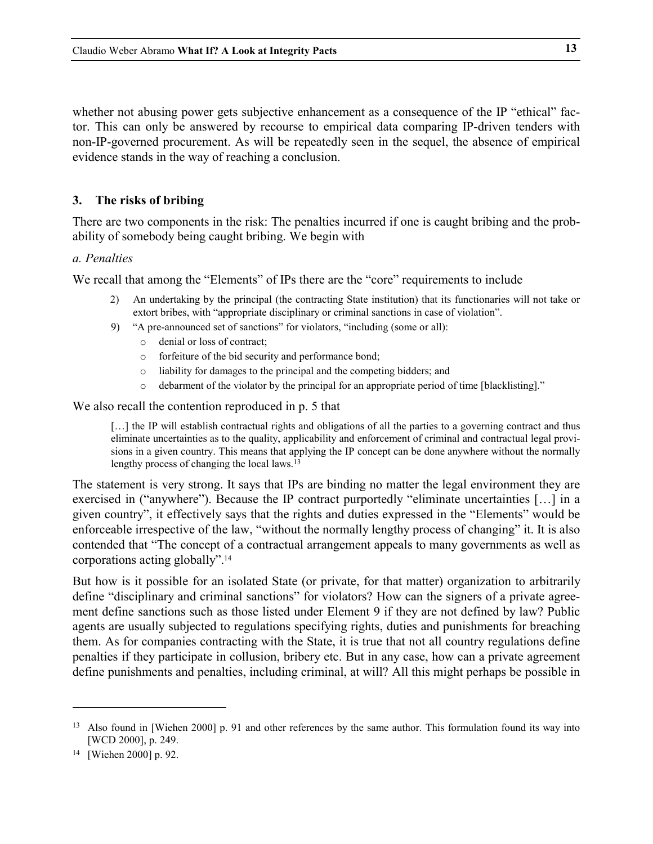<span id="page-12-0"></span>whether not abusing power gets subjective enhancement as a consequence of the IP "ethical" factor. This can only be answered by recourse to empirical data comparing IP-driven tenders with non-IP-governed procurement. As will be repeatedly seen in the sequel, the absence of empirical evidence stands in the way of reaching a conclusion.

# **3. The risks of bribing**

There are two components in the risk: The penalties incurred if one is caught bribing and the probability of somebody being caught bribing. We begin with

## *a. Penalties*

We recall that among the "Elements" of IPs there are the "core" requirements to include

- 2) An undertaking by the principal (the contracting State institution) that its functionaries will not take or extort bribes, with "appropriate disciplinary or criminal sanctions in case of violation".
- 9) "A pre-announced set of sanctions" for violators, "including (some or all):
	- o denial or loss of contract;
	- o forfeiture of the bid security and performance bond;
	- o liability for damages to the principal and the competing bidders; and
	- o debarment of the violator by the principal for an appropriate period of time [blacklisting]."

We also recall the contention reproduced in p. [5](#page-4-3) that

[...] the IP will establish contractual rights and obligations of all the parties to a governing contract and thus eliminate uncertainties as to the quality, applicability and enforcement of criminal and contractual legal provisions in a given country. This means that applying the IP concept can be done anywhere without the normally lengthy process of changing the local laws. [13](#page-12-1)

The statement is very strong. It says that IPs are binding no matter the legal environment they are exercised in ("anywhere"). Because the IP contract purportedly "eliminate uncertainties […] in a given country", it effectively says that the rights and duties expressed in the "Elements" would be enforceable irrespective of the law, "without the normally lengthy process of changing" it. It is also contended that "The concept of a contractual arrangement appeals to many governments as well as corporations acting globally"[.14](#page-12-2)

But how is it possible for an isolated State (or private, for that matter) organization to arbitrarily define "disciplinary and criminal sanctions" for violators? How can the signers of a private agreement define sanctions such as those listed under Element 9 if they are not defined by law? Public agents are usually subjected to regulations specifying rights, duties and punishments for breaching them. As for companies contracting with the State, it is true that not all country regulations define penalties if they participate in collusion, bribery etc. But in any case, how can a private agreement define punishments and penalties, including criminal, at will? All this might perhaps be possible in

<span id="page-12-1"></span><sup>&</sup>lt;sup>13</sup> Also found in [Wiehen 2000] p. 91 and other references by the same author. This formulation found its way into [WCD 2000], p. 249.

<span id="page-12-2"></span><sup>14 [</sup>Wiehen 2000] p. 92.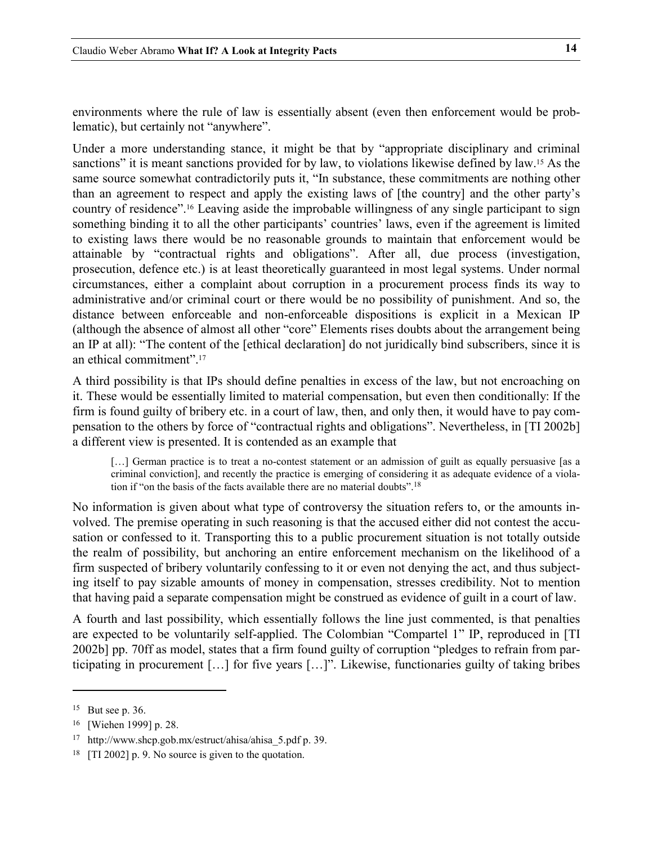environments where the rule of law is essentially absent (even then enforcement would be problematic), but certainly not "anywhere".

<span id="page-13-4"></span>Under a more understanding stance, it might be that by "appropriate disciplinary and criminal sanctions" it is meant sanctions provided for by law, to violations likewise defined by law.<sup>15</sup> As the same source somewhat contradictorily puts it, "In substance, these commitments are nothing other than an agreement to respect and apply the existing laws of [the country] and the other party's country of residence".[16](#page-13-1) Leaving aside the improbable willingness of any single participant to sign something binding it to all the other participants' countries' laws, even if the agreement is limited to existing laws there would be no reasonable grounds to maintain that enforcement would be attainable by "contractual rights and obligations". After all, due process (investigation, prosecution, defence etc.) is at least theoretically guaranteed in most legal systems. Under normal circumstances, either a complaint about corruption in a procurement process finds its way to administrative and/or criminal court or there would be no possibility of punishment. And so, the distance between enforceable and non-enforceable dispositions is explicit in a Mexican IP (although the absence of almost all other "core" Elements rises doubts about the arrangement being an IP at all): "The content of the [ethical declaration] do not juridically bind subscribers, since it is an ethical co[mm](#page-13-2)itment". 17

A third possibility is that IPs should define penalties in excess of the law, but not encroaching on it. These would be essentially limited to material compensation, but even then conditionally: If the firm is found guilty of bribery etc. in a court of law, then, and only then, it would have to pay compensation to the others by force of "contractual rights and obligations". Nevertheless, in [TI 2002b] a different view is presented. It is contended as an example that

[...] German practice is to treat a no-contest statement or an admission of guilt as equally persuasive [as a criminal conviction], and recently the practice is emerging of considering it as adequate evidence of a violation if "on the basis of the facts available there are no material doubts". [18](#page-13-3)

No information is given about what type of controversy the situation refers to, or the amounts involved. The premise operating in such reasoning is that the accused either did not contest the accusation or confessed to it. Transporting this to a public procurement situation is not totally outside the realm of possibility, but anchoring an entire enforcement mechanism on the likelihood of a firm suspected of bribery voluntarily confessing to it or even not denying the act, and thus subjecting itself to pay sizable amounts of money in compensation, stresses credibility. Not to mention that having paid a separate compensation might be construed as evidence of guilt in a court of law.

A fourth and last possibility, which essentially follows the line just commented, is that penalties are expected to be voluntarily self-applied. The Colombian "Compartel 1" IP, reproduced in [TI 2002b] pp. 70ff as model, states that a firm found guilty of corruption "pledges to refrain from participating in procurement […] for five years […]". Likewise, functionaries guilty of taking bribes

<span id="page-13-0"></span><sup>15</sup> But see p. 36.

<span id="page-13-1"></span><sup>16 [</sup>Wiehen 1999] p. 28.

<span id="page-13-2"></span><sup>17</sup> http://www.shcp.gob.mx/estruct/ahisa/ahisa\_5.pdf p. 39.

<span id="page-13-3"></span><sup>18 [</sup>TI 2002] p. 9. No source is given to the quotation.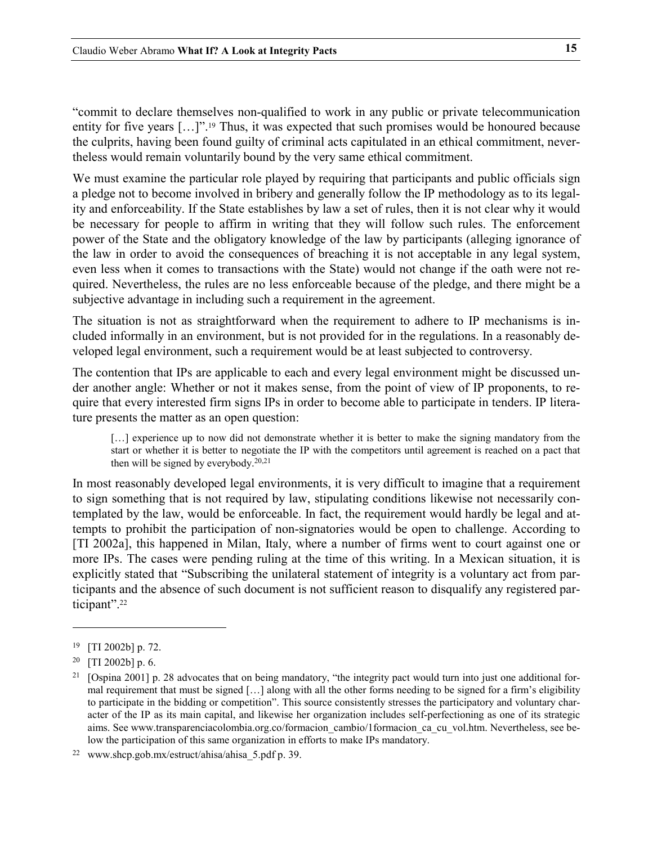"commit to declare themselves non-qualified to work in any public or private telecommunication entity for five years [...]".<sup>19</sup> Thus, it was expected that such promises would be honoured because the culprits, having been found guilty of criminal acts capitulated in an ethical commitment, nevertheless would remain voluntarily bound by the very same ethical commitment.

We must examine the particular role played by requiring that participants and public officials sign a pledge not to become involved in bribery and generally follow the IP methodology as to its legality and enforceability. If the State establishes by law a set of rules, then it is not clear why it would be necessary for people to affirm in writing that they will follow such rules. The enforcement power of the State and the obligatory knowledge of the law by participants (alleging ignorance of the law in order to avoid the consequences of breaching it is not acceptable in any legal system, even less when it comes to transactions with the State) would not change if the oath were not required. Nevertheless, the rules are no less enforceable because of the pledge, and there might be a subjective advantage in including such a requirement in the agreement.

The situation is not as straightforward when the requirement to adhere to IP mechanisms is included informally in an environment, but is not provided for in the regulations. In a reasonably developed legal environment, such a requirement would be at least subjected to controversy.

The contention that IPs are applicable to each and every legal environment might be discussed under another angle: Whether or not it makes sense, from the point of view of IP proponents, to require that every interested firm signs IPs in order to become able to participate in tenders. IP literature presents the matter as an open question:

<span id="page-14-4"></span>[...] experience up to now did not demonstrate whether it is better to make the signing mandatory from the start or whether it is better to negotiate the IP with the competitors until agreement is reached on a pact that then will be signed by everybody. [20,](#page-14-1)[21](#page-14-2)

In most reasonably developed legal environments, it is very difficult to imagine that a requirement to sign something that is not required by law, stipulating conditions likewise not necessarily contemplated by the law, would be enforceable. In fact, the requirement would hardly be legal and attempts to prohibit the participation of non-signatories would be open to challenge. According to [TI 2002a], this happened in Milan, Italy, where a number of firms went to court against one or more IPs. The cases were pending ruling at the time of this writing. In a Mexican situation, it is explicitly stated that "Subscribing the unilateral statement of integrity is a voluntary act from participants and the absence of such document is not sufficient reason to disqualify any registered participant". [22](#page-14-3)

<span id="page-14-0"></span><sup>19 [</sup>TI 2002b] p. 72.

<span id="page-14-1"></span> $20$  [TI 2002b] p. 6.

<span id="page-14-2"></span><sup>&</sup>lt;sup>21</sup> [Ospina 2001] p. 28 advocates that on being mandatory, "the integrity pact would turn into just one additional formal requirement that must be signed […] along with all the other forms needing to be signed for a firm's eligibility to participate in the bidding or competition". This source consistently stresses the participatory and voluntary character of the IP as its main capital, and likewise her organization includes self-perfectioning as one of its strategic aims. See www.transparenciacolombia.org.co/formacion\_cambio/1formacion\_ca\_cu\_vol.htm. Nevertheless, see below the participation of this same organization in efforts to make IPs mandatory.

<span id="page-14-3"></span><sup>22</sup> www.shcp.gob.mx/estruct/ahisa/ahisa\_5.pdf p. 39.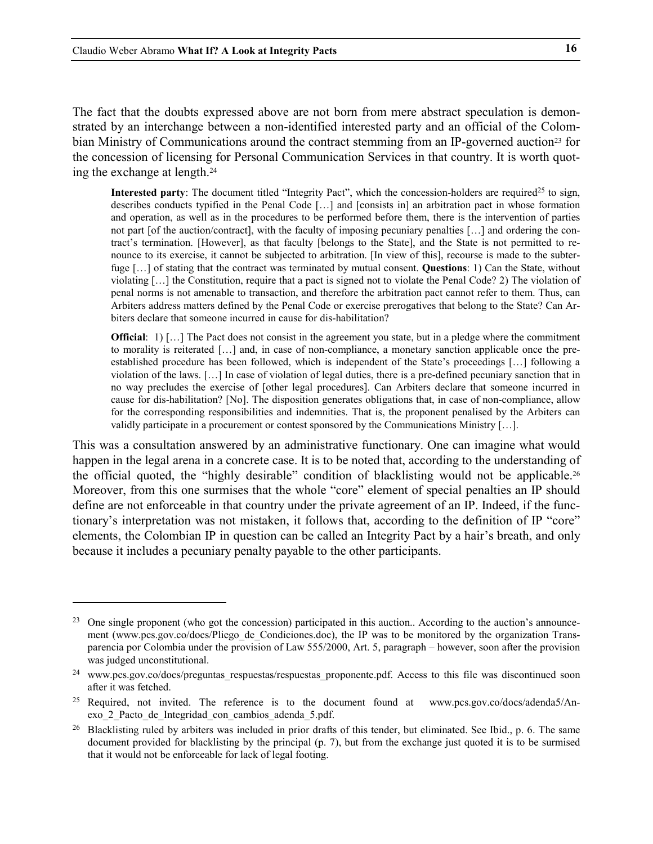$\ddot{ }$ 

The fact that the doubts expressed above are not born from mere abstract speculation is demonstrated by an interchange between a non-identified interested party and an official of the Colombian Ministry of Communications around the contract stemming from an IP-governed auction<sup>23</sup> for the concession of licensing for Personal Communication Services in that country. It is worth quoting the exchange at length. [24](#page-15-1)

**Interested party**: The document titled "Integrity Pact", which the concession-holders are required<sup>25</sup> to sign, describes conducts typified in the Penal Code […] and [consists in] an arbitration pact in whose formation and operation, as well as in the procedures to be performed before them, there is the intervention of parties not part [of the auction/contract], with the faculty of imposing pecuniary penalties […] and ordering the contract's termination. [However], as that faculty [belongs to the State], and the State is not permitted to renounce to its exercise, it cannot be subjected to arbitration. [In view of this], recourse is made to the subterfuge […] of stating that the contract was terminated by mutual consent. **Questions**: 1) Can the State, without violating […] the Constitution, require that a pact is signed not to violate the Penal Code? 2) The violation of penal norms is not amenable to transaction, and therefore the arbitration pact cannot refer to them. Thus, can Arbiters address matters defined by the Penal Code or exercise prerogatives that belong to the State? Can Arbiters declare that someone incurred in cause for dis-habilitation?

**Official**: 1) [...] The Pact does not consist in the agreement you state, but in a pledge where the commitment to morality is reiterated […] and, in case of non-compliance, a monetary sanction applicable once the preestablished procedure has been followed, which is independent of the State's proceedings […] following a violation of the laws. […] In case of violation of legal duties, there is a pre-defined pecuniary sanction that in no way precludes the exercise of [other legal procedures]. Can Arbiters declare that someone incurred in cause for dis-habilitation? [No]. The disposition generates obligations that, in case of non-compliance, allow for the corresponding responsibilities and indemnities. That is, the proponent penalised by the Arbiters can validly participate in a procurement or contest sponsored by the Communications Ministry […].

This was a consultation answered by an administrative functionary. One can imagine what would happen in the legal arena in a concrete case. It is to be noted that, according to the understanding of the official quoted, the "highly desirable" condition of blacklisting would not be applicable[.26](#page-15-3) Moreover, from this one surmises that the whole "core" element of special penalties an IP should define are not enforceable in that country under the private agreement of an IP. Indeed, if the functionary's interpretation was not mistaken, it follows that, according to the definition of IP "core" elements, the Colombian IP in question can be called an Integrity Pact by a hair's breath, and only because it includes a pecuniary penalty payable to the other participants.

<span id="page-15-0"></span><sup>&</sup>lt;sup>23</sup> One single proponent (who got the concession) participated in this auction.. According to the auction's announcement (www.pcs.gov.co/docs/Pliego de Condiciones.doc), the IP was to be monitored by the organization Transparencia por Colombia under the provision of Law 555/2000, Art. 5, paragraph – however, soon after the provision was judged unconstitutional.

<span id="page-15-1"></span><sup>&</sup>lt;sup>24</sup> www.pcs.gov.co/docs/preguntas respuestas/respuestas\_proponente.pdf. Access to this file was discontinued soon after it was fetched.

<span id="page-15-2"></span><sup>&</sup>lt;sup>25</sup> Required, not invited. The reference is to the document found at www.pcs.gov.co/docs/adenda5/Anexo\_2\_Pacto\_de\_Integridad\_con\_cambios\_adenda\_5.pdf.

<span id="page-15-3"></span> $26$  Blacklisting ruled by arbiters was included in prior drafts of this tender, but eliminated. See Ibid., p. 6. The same document provided for blacklisting by the principal (p. 7), but from the exchange just quoted it is to be surmised that it would not be enforceable for lack of legal footing.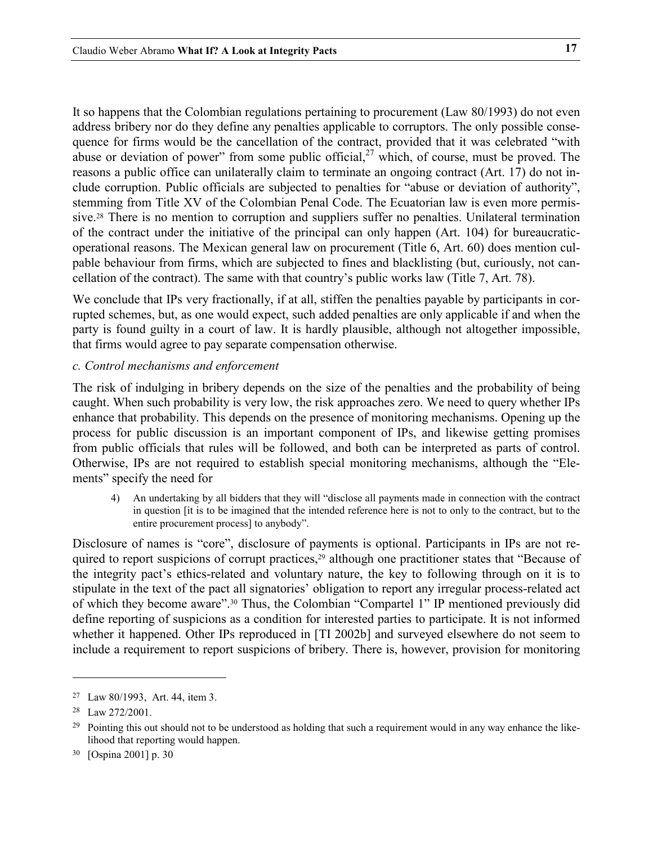<span id="page-16-0"></span>It so happens that the Colombian regulations pertaining to procurement (Law 80/1993) do not even address bribery nor do they define any penalties applicable to corruptors. The only possible consequence for firms would be the cancellation of the contract, provided that it was celebrated "with abuse or deviation of power" from some public official,<sup>27</sup> which, of course, must be proved. The reasons a public office can unilaterally claim to terminate an ongoing contract (Art. 17) do not include corruption. Public officials are subjected to penalties for "abuse or deviation of authority", stemming from Title XV of the Colombian Penal Code. The Ecuatorian law is even more permissive.[28](#page-16-2) There is no mention to corruption and suppliers suffer no penalties. Unilateral termination of the contract under the initiative of the principal can only happen (Art. 104) for bureaucraticoperational reasons. The Mexican general law on procurement (Title 6, Art. 60) does mention culpable behaviour from firms, which are subjected to fines and blacklisting (but, curiously, not cancellation of the contract). The same with that country's public works law (Title 7, Art. 78).

We conclude that IPs very fractionally, if at all, stiffen the penalties payable by participants in corrupted schemes, but, as one would expect, such added penalties are only applicable if and when the party is found guilty in a court of law. It is hardly plausible, although not altogether impossible, that firms would agree to pay separate compensation otherwise.

# *c. Control mechanisms and enforcement*

The risk of indulging in bribery depends on the size of the penalties and the probability of being caught. When such probability is very low, the risk approaches zero. We need to query whether IPs enhance that probability. This depends on the presence of monitoring mechanisms. Opening up the process for public discussion is an important component of IPs, and likewise getting promises from public officials that rules will be followed, and both can be interpreted as parts of control. Otherwise, IPs are not required to establish special monitoring mechanisms, although the "Elements" specify the need for

4) An undertaking by all bidders that they will "disclose all payments made in connection with the contract in question [it is to be imagined that the intended reference here is not to only to the contract, but to the entire procurement process] to anybody".

Disclosure of names is "core", disclosure of payments is optional. Participants in IPs are not required to report suspicions of corrupt practices,<sup>29</sup> although one practitioner states that "Because of the integrity pact's ethics-related and voluntary nature, the key to following through on it is to stipulate in the text of the pact all signatories' obligation to report any irregular process-related act of which they become aware".[30](#page-16-4) Thus, the Colombian "Compartel 1" IP mentioned previously did define reporting of suspicions as a condition for interested parties to participate. It is not informed whether it happened. Other IPs reproduced in [TI 2002b] and surveyed elsewhere do not seem to include a requirement to report suspicions of bribery. There is, however, provision for monitoring

<span id="page-16-1"></span><sup>27</sup> Law 80/1993, Art. 44, item 3.

<span id="page-16-2"></span><sup>28</sup> Law 272/2001.

<span id="page-16-3"></span> $29$  Pointing this out should not to be understood as holding that such a requirement would in any way enhance the likelihood that reporting would happen.

<span id="page-16-4"></span><sup>30 [</sup>Ospina 2001] p. 30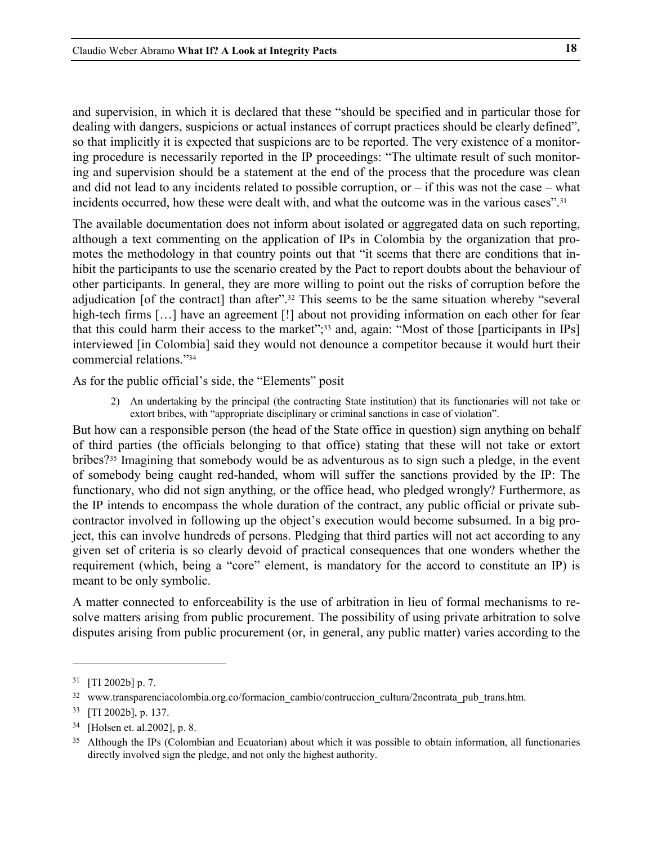and supervision, in which it is declared that these "should be specified and in particular those for dealing with dangers, suspicions or actual instances of corrupt practices should be clearly defined", so that implicitly it is expected that suspicions are to be reported. The very existence of a monitoring procedure is necessarily reported in the IP proceedings: "The ultimate result of such monitoring and supervision should be a statement at the end of the process that the procedure was clean and did not lead to any incidents related to possible corruption, or  $-$  if this was not the case  $-$  what incidents occurred, how these were dealt with, and what the outcome was in the various cases"[.31](#page-17-0)

<span id="page-17-5"></span>The available documentation does not inform about isolated or aggregated data on such reporting, although a text commenting on the application of IPs in Colombia by the organization that promotes the methodology in that country points out that "it seems that there are conditions that inhibit the participants to use the scenario created by the Pact to report doubts about the behaviour of other participants. In general, they are more willing to point out the risks of corruption before the adjudication [of the contract] than after".<sup>32</sup> This seems to be the same situation whereby "several high-tech firms [...] have an agreement [!] about not providing information on each other for fear that this could harm their access to the market";<sup>[33](#page-17-2)</sup> and, again: "Most of those [participants in IPs] interviewed [in Colombia] said they would not denounce a competitor because it would hurt their commercial relations.["34](#page-17-3)

As for the public official's side, the "Elements" posit

2) An undertaking by the principal (the contracting State institution) that its functionaries will not take or extort bribes, with "appropriate disciplinary or criminal sanctions in case of violation".

But how can a responsible person (the head of the State office in question) sign anything on behalf of third parties (the officials belonging to that office) stating that these will not take or extort bribes?[35](#page-17-4) Imagining that somebody would be as adventurous as to sign such a pledge, in the event of somebody being caught red-handed, whom will suffer the sanctions provided by the IP: The functionary, who did not sign anything, or the office head, who pledged wrongly? Furthermore, as the IP intends to encompass the whole duration of the contract, any public official or private subcontractor involved in following up the object's execution would become subsumed. In a big project, this can involve hundreds of persons. Pledging that third parties will not act according to any given set of criteria is so clearly devoid of practical consequences that one wonders whether the requirement (which, being a "core" element, is mandatory for the accord to constitute an IP) is meant to be only symbolic.

A matter connected to enforceability is the use of arbitration in lieu of formal mechanisms to resolve matters arising from public procurement. The possibility of using private arbitration to solve disputes arising from public procurement (or, in general, any public matter) varies according to the

<span id="page-17-0"></span> $31$  [TI 2002b] p. 7.

<span id="page-17-1"></span><sup>32</sup> www.transparenciacolombia.org.co/formacion\_cambio/contruccion\_cultura/2ncontrata\_pub\_trans.htm.

<span id="page-17-2"></span><sup>33 [</sup>TI 2002b], p. 137.

<span id="page-17-3"></span><sup>34 [</sup>Holsen et. al.2002], p. 8.

<span id="page-17-4"></span><sup>&</sup>lt;sup>35</sup> Although the IPs (Colombian and Ecuatorian) about which it was possible to obtain information, all functionaries directly involved sign the pledge, and not only the highest authority.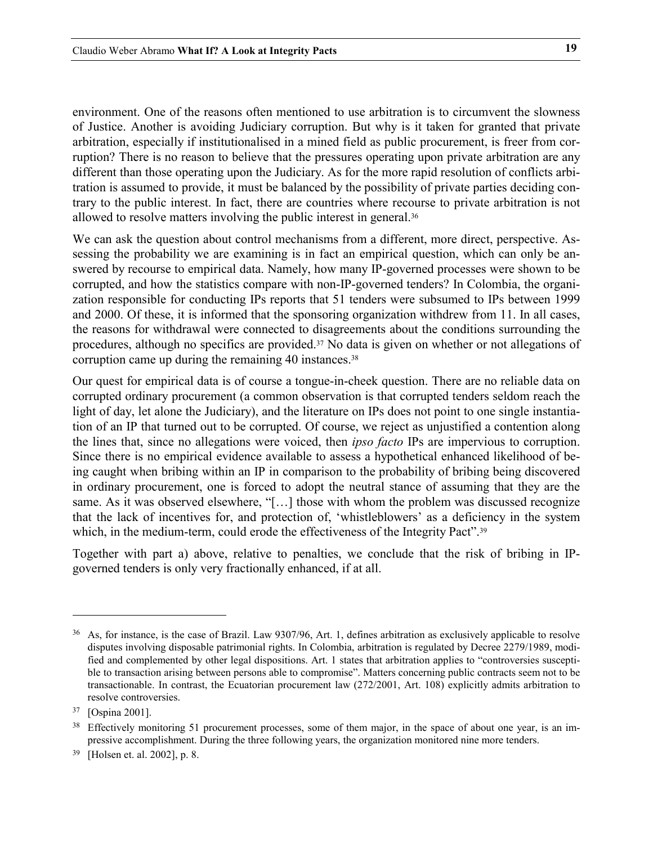environment. One of the reasons often mentioned to use arbitration is to circumvent the slowness of Justice. Another is avoiding Judiciary corruption. But why is it taken for granted that private arbitration, especially if institutionalised in a mined field as public procurement, is freer from corruption? There is no reason to believe that the pressures operating upon private arbitration are any different than those operating upon the Judiciary. As for the more rapid resolution of conflicts arbitration is assumed to provide, it must be balanced by the possibility of private parties deciding contrary to the public interest. In fact, there are countries where recourse to private arbitration is not allowed to resolve matters involving the public interest in general.36

We can ask the question about control mechanisms from a different, more direct, perspective. Assessing the probability we are examining is in fact an empirical question, which can only be answered by recourse to empirical data. Namely, how many IP-governed processes were shown to be corrupted, and how the statistics compare with non-IP-governed tenders? In Colombia, the organization responsible for conducting IPs reports that 51 tenders were subsumed to IPs between 1999 and 2000. Of these, it is informed that the sponsoring organization withdrew from 11. In all cases, the reasons for withdrawal were connected to disagreements about the conditions surrounding the procedures, although no specifics are provided.[37](#page-18-0) No data is given on whether or not allegations of corruption came up during the remaining 40 instances.<sup>[38](#page-18-1)</sup>

Our quest for empirical data is of course a tongue-in-cheek question. There are no reliable data on corrupted ordinary procurement (a common observation is that corrupted tenders seldom reach the light of day, let alone the Judiciary), and the literature on IPs does not point to one single instantiation of an IP that turned out to be corrupted. Of course, we reject as unjustified a contention along the lines that, since no allegations were voiced, then *ipso facto* IPs are impervious to corruption. Since there is no empirical evidence available to assess a hypothetical enhanced likelihood of being caught when bribing within an IP in comparison to the probability of bribing being discovered in ordinary procurement, one is forced to adopt the neutral stance of assuming that they are the same. As it was observed elsewhere, "[…] those with whom the problem was discussed recognize that the lack of incentives for, and protection of, 'whistleblowers' as a deficiency in the system which, in the medium-term, could erode the effectiveness of the Integrity Pact".<sup>[39](#page-18-2)</sup>

Together with part a) above, relative to penalties, we conclude that the risk of bribing in IPgoverned tenders is only very fractionally enhanced, if at all.

<sup>36</sup> As, for instance, is the case of Brazil. Law 9307/96, Art. 1, defines arbitration as exclusively applicable to resolve disputes involving disposable patrimonial rights. In Colombia, arbitration is regulated by Decree 2279/1989, modified and complemented by other legal dispositions. Art. 1 states that arbitration applies to "controversies susceptible to transaction arising between persons able to compromise". Matters concerning public contracts seem not to be transactionable. In contrast, the Ecuatorian procurement law (272/2001, Art. 108) explicitly admits arbitration to resolve controversies.

<span id="page-18-0"></span><sup>37 [</sup>Ospina 2001].

<span id="page-18-1"></span><sup>&</sup>lt;sup>38</sup> Effectively monitoring 51 procurement processes, some of them major, in the space of about one year, is an impressive accomplishment. During the three following years, the organization monitored nine more tenders.

<span id="page-18-2"></span><sup>39 [</sup>Holsen et. al. 2002], p. 8.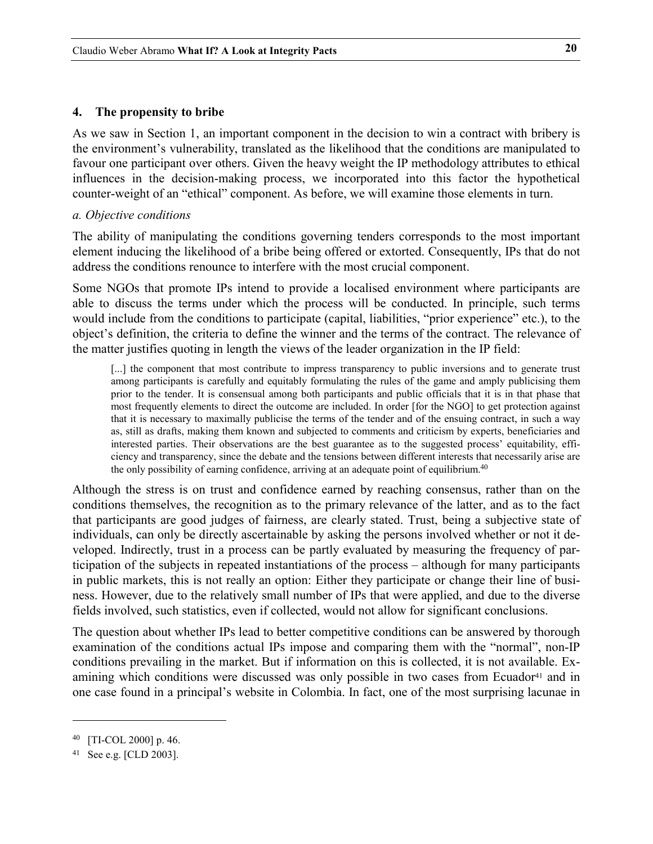### <span id="page-19-0"></span>**4. The propensity to bribe**

As we saw in Section 1, an important component in the decision to win a contract with bribery is the environment's vulnerability, translated as the likelihood that the conditions are manipulated to favour one participant over others. Given the heavy weight the IP methodology attributes to ethical influences in the decision-making process, we incorporated into this factor the hypothetical counter-weight of an "ethical" component. As before, we will examine those elements in turn.

### *a. Objective conditions*

The ability of manipulating the conditions governing tenders corresponds to the most important element inducing the likelihood of a bribe being offered or extorted. Consequently, IPs that do not address the conditions renounce to interfere with the most crucial component.

Some NGOs that promote IPs intend to provide a localised environment where participants are able to discuss the terms under which the process will be conducted. In principle, such terms would include from the conditions to participate (capital, liabilities, "prior experience" etc.), to the object's definition, the criteria to define the winner and the terms of the contract. The relevance of the matter justifies quoting in length the views of the leader organization in the IP field:

[...] the component that most contribute to impress transparency to public inversions and to generate trust among participants is carefully and equitably formulating the rules of the game and amply publicising them prior to the tender. It is consensual among both participants and public officials that it is in that phase that most frequently elements to direct the outcome are included. In order [for the NGO] to get protection against that it is necessary to maximally publicise the terms of the tender and of the ensuing contract, in such a way as, still as drafts, making them known and subjected to comments and criticism by experts, beneficiaries and interested parties. Their observations are the best guarantee as to the suggested process' equitability, efficiency and transparency, since the debate and the tensions between different interests that necessarily arise are the only possibility of earning confidence, arriving at an adequate point of equilibrium.<sup>[40](#page-19-1)</sup>

Although the stress is on trust and confidence earned by reaching consensus, rather than on the conditions themselves, the recognition as to the primary relevance of the latter, and as to the fact that participants are good judges of fairness, are clearly stated. Trust, being a subjective state of individuals, can only be directly ascertainable by asking the persons involved whether or not it developed. Indirectly, trust in a process can be partly evaluated by measuring the frequency of participation of the subjects in repeated instantiations of the process – although for many participants in public markets, this is not really an option: Either they participate or change their line of business. However, due to the relatively small number of IPs that were applied, and due to the diverse fields involved, such statistics, even if collected, would not allow for significant conclusions.

The question about whether IPs lead to better competitive conditions can be answered by thorough examination of the conditions actual IPs impose and comparing them with the "normal", non-IP conditions prevailing in the market. But if information on this is collected, it is not available. Examining which conditions were discussed was only possible in two cases from Ecuador<sup>41</sup> and in one case found in a principal's website in Colombia. In fact, one of the most surprising lacunae in

<span id="page-19-1"></span><sup>40 [</sup>TI-COL 2000] p. 46.

<span id="page-19-2"></span><sup>41</sup> See e.g. [CLD 2003].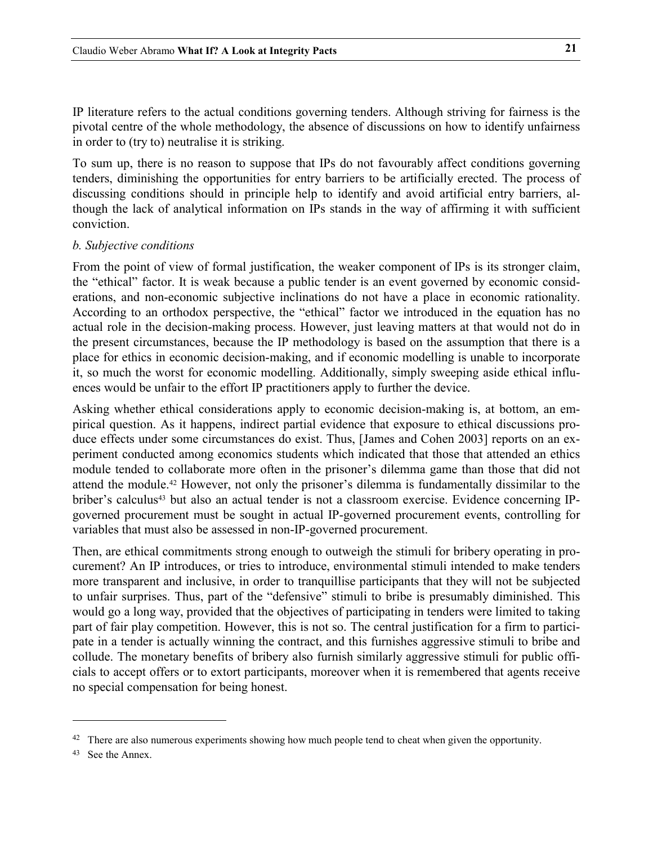<span id="page-20-0"></span>IP literature refers to the actual conditions governing tenders. Although striving for fairness is the pivotal centre of the whole methodology, the absence of discussions on how to identify unfairness in order to (try to) neutralise it is striking.

To sum up, there is no reason to suppose that IPs do not favourably affect conditions governing tenders, diminishing the opportunities for entry barriers to be artificially erected. The process of discussing conditions should in principle help to identify and avoid artificial entry barriers, although the lack of analytical information on IPs stands in the way of affirming it with sufficient conviction.

### *b. Subjective conditions*

From the point of view of formal justification, the weaker component of IPs is its stronger claim, the "ethical" factor. It is weak because a public tender is an event governed by economic considerations, and non-economic subjective inclinations do not have a place in economic rationality. According to an orthodox perspective, the "ethical" factor we introduced in the equation has no actual role in the decision-making process. However, just leaving matters at that would not do in the present circumstances, because the IP methodology is based on the assumption that there is a place for ethics in economic decision-making, and if economic modelling is unable to incorporate it, so much the worst for economic modelling. Additionally, simply sweeping aside ethical influences would be unfair to the effort IP practitioners apply to further the device.

Asking whether ethical considerations apply to economic decision-making is, at bottom, an empirical question. As it happens, indirect partial evidence that exposure to ethical discussions produce effects under some circumstances do exist. Thus, [James and Cohen 2003] reports on an experiment conducted among economics students which indicated that those that attended an ethics module tended to collaborate more often in the prisoner's dilemma game than those that did not attend the module.[42](#page-20-1) However, not only the prisoner's dilemma is fundamentally dissimilar to the briber's calculus[43](#page-20-2) but also an actual tender is not a classroom exercise. Evidence concerning IPgoverned procurement must be sought in actual IP-governed procurement events, controlling for variables that must also be assessed in non-IP-governed procurement.

Then, are ethical commitments strong enough to outweigh the stimuli for bribery operating in procurement? An IP introduces, or tries to introduce, environmental stimuli intended to make tenders more transparent and inclusive, in order to tranquillise participants that they will not be subjected to unfair surprises. Thus, part of the "defensive" stimuli to bribe is presumably diminished. This would go a long way, provided that the objectives of participating in tenders were limited to taking part of fair play competition. However, this is not so. The central justification for a firm to participate in a tender is actually winning the contract, and this furnishes aggressive stimuli to bribe and collude. The monetary benefits of bribery also furnish similarly aggressive stimuli for public officials to accept offers or to extort participants, moreover when it is remembered that agents receive no special compensation for being honest.

<span id="page-20-1"></span><sup>&</sup>lt;sup>42</sup> There are also numerous experiments showing how much people tend to cheat when given the opportunity.

<span id="page-20-2"></span><sup>43</sup> See the Annex.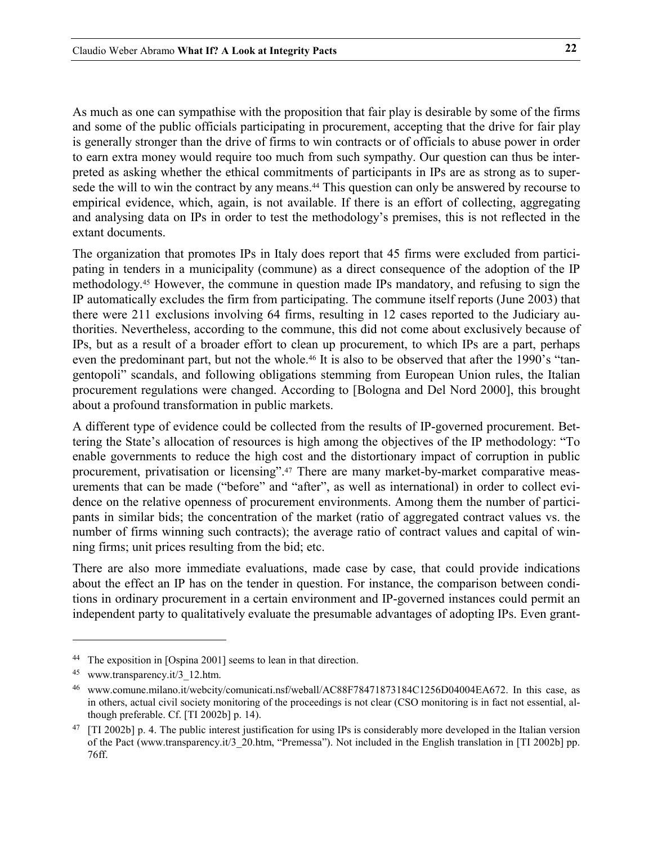As much as one can sympathise with the proposition that fair play is desirable by some of the firms and some of the public officials participating in procurement, accepting that the drive for fair play is generally stronger than the drive of firms to win contracts or of officials to abuse power in order to earn extra money would require too much from such sympathy. Our question can thus be interpreted as asking whether the ethical commitments of participants in IPs are as strong as to supersede the will to win the contract by any means.<sup>44</sup> This question can only be answered by recourse to empirical evidence, which, again, is not available. If there is an effort of collecting, aggregating and analysing data on IPs in order to test the methodology's premises, this is not reflected in the extant documents.

The organization that promotes IPs in Italy does report that 45 firms were excluded from participating in tenders in a municipality (commune) as a direct consequence of the adoption of the IP methodology. [45](#page-21-1) However, the commune in question made IPs mandatory, and refusing to sign the IP automatically excludes the firm from participating. The commune itself reports (June 2003) that there were 211 exclusions involving 64 firms, resulting in 12 cases reported to the Judiciary authorities. Nevertheless, according to the commune, this did not come about exclusively because of IPs, but as a result of a broader effort to clean up procurement, to which IPs are a part, perhaps even the predominant part, but not the whole[.46](#page-21-2) It is also to be observed that after the 1990's "tangentopoli" scandals, and following obligations stemming from European Union rules, the Italian procurement regulations were changed. According to [Bologna and Del Nord 2000], this brought about a profound transformation in public markets.

A different type of evidence could be collected from the results of IP-governed procurement. Bettering the State's allocation of resources is high among the objectives of the IP methodology: "To enable governments to reduce the high cost and the distortionary impact of corruption in public procurement, privatisation or licensing".<sup>47</sup> There are many market-by-market comparative measurements that can be made ("before" and "after", as well as international) in order to collect evidence on the relative openness of procurement environments. Among them the number of participants in similar bids; the concentration of the market (ratio of aggregated contract values vs. the number of firms winning such contracts); the average ratio of contract values and capital of winning firms; unit prices resulting from the bid; etc.

There are also more immediate evaluations, made case by case, that could provide indications about the effect an IP has on the tender in question. For instance, the comparison between conditions in ordinary procurement in a certain environment and IP-governed instances could permit an independent party to qualitatively evaluate the presumable advantages of adopting IPs. Even grant-

<span id="page-21-0"></span><sup>44</sup> The exposition in [Ospina 2001] seems to lean in that direction.

<span id="page-21-1"></span><sup>45</sup> www.transparency.it/3\_12.htm.

<span id="page-21-2"></span><sup>46</sup> www.comune.milano.it/webcity/comunicati.nsf/weball/AC88F78471873184C1256D04004EA672. In this case, as in others, actual civil society monitoring of the proceedings is not clear (CSO monitoring is in fact not essential, although preferable. Cf. [TI 2002b] p. 14).

<span id="page-21-3"></span> $47$  [TI 2002b] p. 4. The public interest justification for using IPs is considerably more developed in the Italian version of the Pact (www.transparency.it/3\_20.htm, "Premessa"). Not included in the English translation in [TI 2002b] pp. 76ff.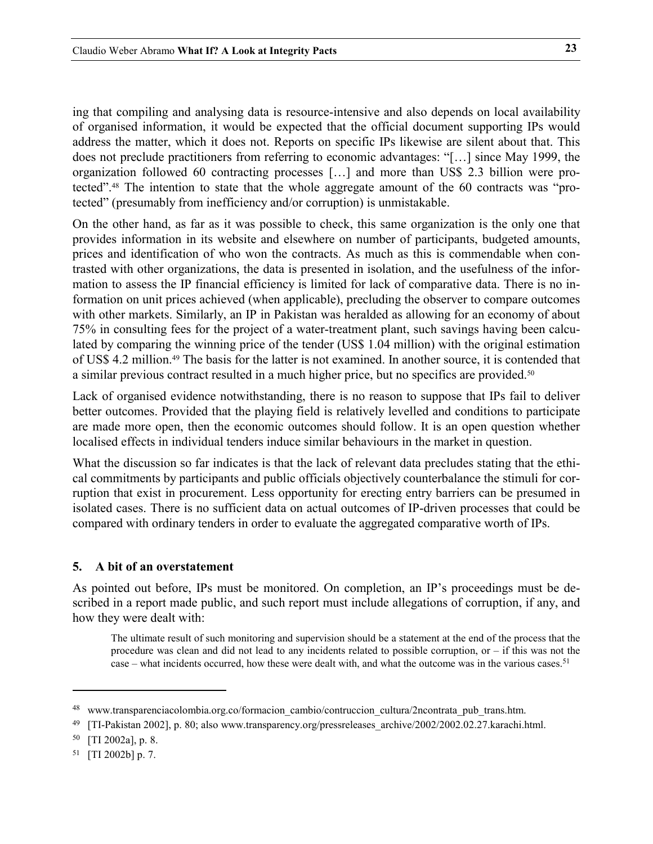<span id="page-22-0"></span>ing that compiling and analysing data is resource-intensive and also depends on local availability of organised information, it would be expected that the official document supporting IPs would address the matter, which it does not. Reports on specific IPs likewise are silent about that. This does not preclude practitioners from referring to economic advantages: "[…] since May 1999, the organization followed 60 contracting processes […] and more than US\$ 2.3 billion were protected".[48](#page-22-1) The intention to state that the whole aggregate amount of the 60 contracts was "protected" (presumably from inefficiency and/or corruption) is unmistakable.

On the other hand, as far as it was possible to check, this same organization is the only one that provides information in its website and elsewhere on number of participants, budgeted amounts, prices and identification of who won the contracts. As much as this is commendable when contrasted with other organizations, the data is presented in isolation, and the usefulness of the information to assess the IP financial efficiency is limited for lack of comparative data. There is no information on unit prices achieved (when applicable), precluding the observer to compare outcomes with other markets. Similarly, an IP in Pakistan was heralded as allowing for an economy of about 75% in consulting fees for the project of a water-treatment plant, such savings having been calculated by comparing the winning price of the tender (US\$ 1.04 million) with the original estimation of US\$ 4.2 million.[49 T](#page-22-2)he basis for the latter is not examined. In another source, it is contended that a similar previous contract resulted in a much higher price, but no specifics are provided.<sup>50</sup>

Lack of organised evidence notwithstanding, there is no reason to suppose that IPs fail to deliver better outcomes. Provided that the playing field is relatively levelled and conditions to participate are made more open, then the economic outcomes should follow. It is an open question whether localised effects in individual tenders induce similar behaviours in the market in question.

What the discussion so far indicates is that the lack of relevant data precludes stating that the ethical commitments by participants and public officials objectively counterbalance the stimuli for corruption that exist in procurement. Less opportunity for erecting entry barriers can be presumed in isolated cases. There is no sufficient data on actual outcomes of IP-driven processes that could be compared with ordinary tenders in order to evaluate the aggregated comparative worth of IPs.

### **5. A bit of an overstatement**

As pointed out before, IPs must be monitored. On completion, an IP's proceedings must be described in a report made public, and such report must include allegations of corruption, if any, and how they were dealt with:

The ultimate result of such monitoring and supervision should be a statement at the end of the process that the procedure was clean and did not lead to any incidents related to possible corruption, or – if this was not the case – what incidents occurred, how these were dealt with, and what the outcome was in the various cases.<sup>[51](#page-22-4)</sup>

<span id="page-22-1"></span><sup>48</sup> www.transparenciacolombia.org.co/formacion cambio/contruccion cultura/2ncontrata pub trans.htm.

<span id="page-22-2"></span><sup>49 [</sup>TI-Pakistan 2002], p. 80; also www.transparency.org/pressreleases\_archive/2002/2002.02.27.karachi.html.

<span id="page-22-3"></span><sup>50 [</sup>TI 2002a], p. 8.

<span id="page-22-4"></span><sup>51 [</sup>TI 2002b] p. 7.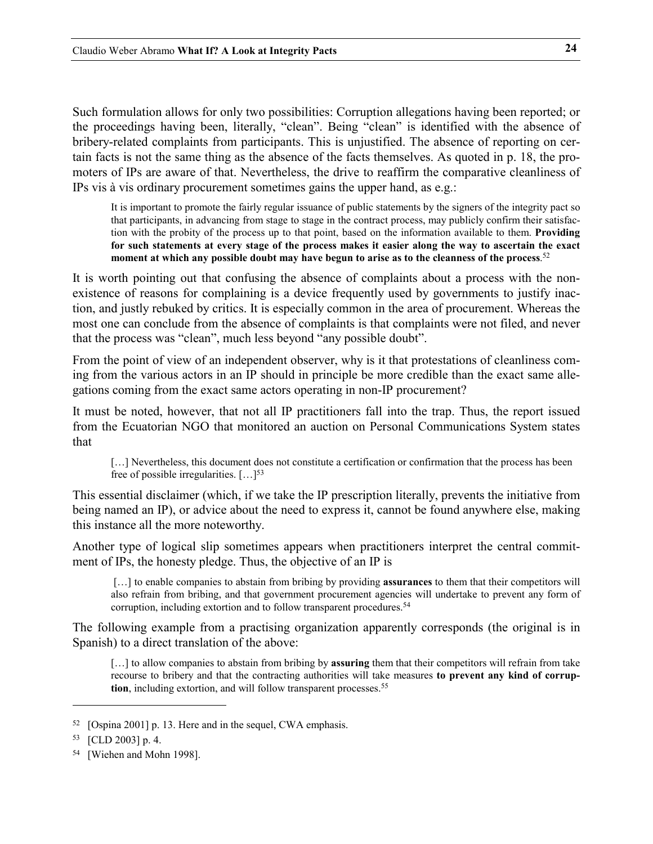Such formulation allows for only two possibilities: Corruption allegations having been reported; or the proceedings having been, literally, "clean". Being "clean" is identified with the absence of bribery-related complaints from participants. This is unjustified. The absence of reporting on certain facts is not the same thing as the absence of the facts themselves. As quoted in p. [18,](#page-17-5) the promoters of IPs are aware of that. Nevertheless, the drive to reaffirm the comparative cleanliness of IPs vis à vis ordinary procurement sometimes gains the upper hand, as e.g.:

It is important to promote the fairly regular issuance of public statements by the signers of the integrity pact so that participants, in advancing from stage to stage in the contract process, may publicly confirm their satisfaction with the probity of the process up to that point, based on the information available to them. **Providing for such statements at every stage of the process makes it easier along the way to ascertain the exact moment at which any possible doubt may have begun to arise as to the cleanness of the process**. [52](#page-23-0)

It is worth pointing out that confusing the absence of complaints about a process with the nonexistence of reasons for complaining is a device frequently used by governments to justify inaction, and justly rebuked by critics. It is especially common in the area of procurement. Whereas the most one can conclude from the absence of complaints is that complaints were not filed, and never that the process was "clean", much less beyond "any possible doubt".

From the point of view of an independent observer, why is it that protestations of cleanliness coming from the various actors in an IP should in principle be more credible than the exact same allegations coming from the exact same actors operating in non-IP procurement?

It must be noted, however, that not all IP practitioners fall into the trap. Thus, the report issued from the Ecuatorian NGO that monitored an auction on Personal Communications System states that

[...] Nevertheless, this document does not constitute a certification or confirmation that the process has been free of possible irregularities.  $[...]^{53}$  $[...]^{53}$  $[...]^{53}$ 

This essential disclaimer (which, if we take the IP prescription literally, prevents the initiative from being named an IP), or advice about the need to express it, cannot be found anywhere else, making this instance all the more noteworthy.

<span id="page-23-3"></span>Another type of logical slip sometimes appears when practitioners interpret the central commitment of IPs, the honesty pledge. Thus, the objective of an IP is

[...] to enable companies to abstain from bribing by providing **assurances** to them that their competitors will also refrain from bribing, and that government procurement agencies will undertake to prevent any form of corruption, including extortion and to follow transparent procedures.<sup>[54](#page-23-2)</sup>

The following example from a practising organization apparently corresponds (the original is in Spanish) to a direct translation of the above:

[...] to allow companies to abstain from bribing by **assuring** them that their competitors will refrain from take recourse to bribery and that the contracting authorities will take measures **to prevent any kind of corrup**tion, including extortion, and will follow transparent processes.<sup>55</sup>

<span id="page-23-0"></span><sup>52 [</sup>Ospina 2001] p. 13. Here and in the sequel, CWA emphasis.

<span id="page-23-1"></span><sup>53 [</sup>CLD 2003] p. 4.

<span id="page-23-2"></span><sup>54 [</sup>Wiehen and Mohn 1998].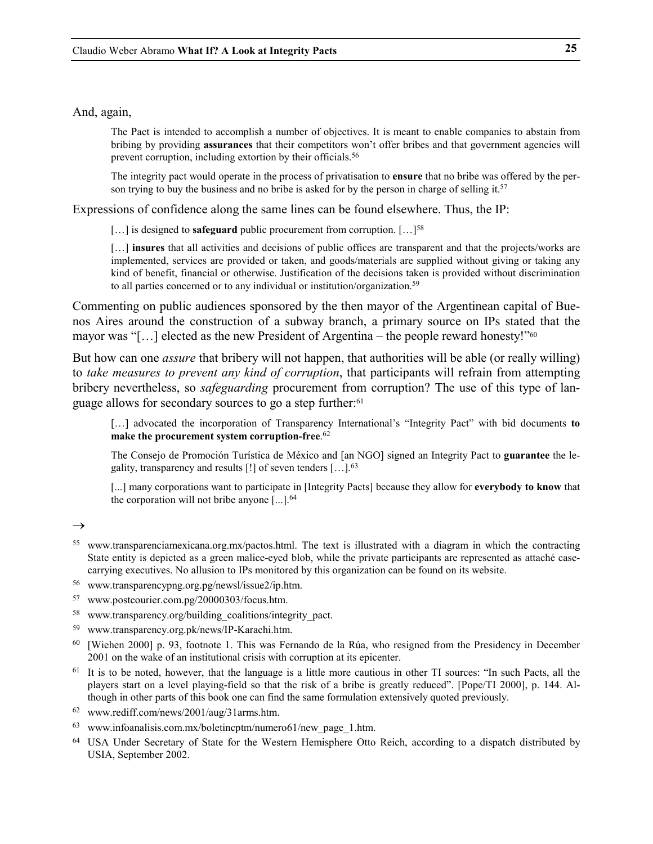### And, again,

The Pact is intended to accomplish a number of objectives. It is meant to enable companies to abstain from bribing by providing **assurances** that their competitors won't offer bribes and that government agencies will prevent corruption, including extortion by their officials.<sup>[56](#page-24-0)</sup>

The integrity pact would operate in the process of privatisation to **ensure** that no bribe was offered by the person trying to buy the business and no bribe is asked for by the person in charge of selling it.<sup>57</sup>

Expressions of confidence along the same lines can be found elsewhere. Thus, the IP:

[...] is designed to **safeguard** public procurement from corruption. [...]<sup>[58](#page-24-2)</sup>

[...] **insures** that all activities and decisions of public offices are transparent and that the projects/works are implemented, services are provided or taken, and goods/materials are supplied without giving or taking any kind of benefit, financial or otherwise. Justification of the decisions taken is provided without discrimination to all parties concerned or to any individual or institution/organization.<sup>[59](#page-24-3)</sup>

Commenting on public audiences sponsored by the then mayor of the Argentinean capital of Buenos Aires around the construction of a subway branch, a primary source on IPs stated that the mayor was "[...] elected as the new President of Argentina – the people reward honesty!"<sup>[60](#page-24-4)</sup>

But how can one *assure* that bribery will not happen, that authorities will be able (or really willing) to *take measures to prevent any kind of corruption*, that participants will refrain from attempting bribery nevertheless, so *safeguarding* procurement from corruption? The use of this type of language allows for secondary sources to go a step further[:61](#page-24-5)

[...] advocated the incorporation of Transparency International's "Integrity Pact" with bid documents **to make the procurement system corruption-free**. [62](#page-24-6)

The Consejo de Promoción Turística de México and [an NGO] signed an Integrity Pact to **guarantee** the legality, transparency and results [!] of seven tenders […].[63](#page-24-7)

[...] many corporations want to participate in [Integrity Pacts] because they allow for **everybody to know** that the corporation will not bribe anyone [...].[64](#page-24-8)

- <sup>55</sup> www.transparenciamexicana.org.mx/pactos.html. The text is illustrated with a diagram in which the contracting State entity is depicted as a green malice-eyed blob, while the private participants are represented as attaché casecarrying executives. No allusion to IPs monitored by this organization can be found on its website.
- <span id="page-24-0"></span>56 www.transparencypng.org.pg/newsl/issue2/ip.htm.
- <span id="page-24-1"></span>57 www.postcourier.com.pg/20000303/focus.htm.
- <span id="page-24-2"></span>58 www.transparency.org/building\_coalitions/integrity\_pact.
- <span id="page-24-3"></span>59 www.transparency.org.pk/news/IP-Karachi.htm.
- <span id="page-24-4"></span><sup>60</sup> [Wiehen 2000] p. 93, footnote 1. This was Fernando de la Rúa, who resigned from the Presidency in December 2001 on the wake of an institutional crisis with corruption at its epicenter.
- <span id="page-24-5"></span> $61$  It is to be noted, however, that the language is a little more cautious in other TI sources: "In such Pacts, all the players start on a level playing-field so that the risk of a bribe is greatly reduced". [Pope/TI 2000], p. 144. Although in other parts of this book one can find the same formulation extensively quoted previously.
- <span id="page-24-6"></span>62 www.rediff.com/news/2001/aug/31arms.htm.
- <span id="page-24-7"></span>63 www.infoanalisis.com.mx/boletincptm/numero61/new\_page\_1.htm.
- <span id="page-24-8"></span><sup>64</sup> USA Under Secretary of State for the Western Hemisphere Otto Reich, according to a dispatch distributed by USIA, September 2002.

 $\rightarrow$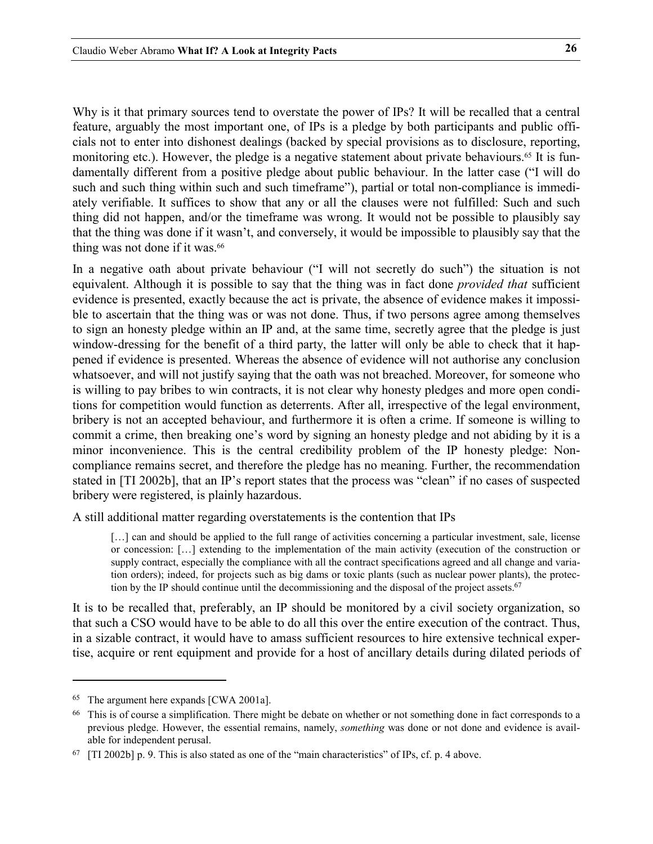Why is it that primary sources tend to overstate the power of IPs? It will be recalled that a central feature, arguably the most important one, of IPs is a pledge by both participants and public officials not to enter into dishonest dealings (backed by special provisions as to disclosure, reporting, monitoring etc.). However, the pledge is a negative statement about private behaviours.<sup>[65](#page-25-0)</sup> It is fundamentally different from a positive pledge about public behaviour. In the latter case ("I will do such and such thing within such and such timeframe"), partial or total non-compliance is immediately verifiable. It suffices to show that any or all the clauses were not fulfilled: Such and such thing did not happen, and/or the timeframe was wrong. It would not be possible to plausibly say that the thing was done if it wasn't, and conversely, it would be impossible to plausibly say that the thing was not done if it was.<sup>66</sup>

In a negative oath about private behaviour ("I will not secretly do such") the situation is not equivalent. Although it is possible to say that the thing was in fact done *provided that* sufficient evidence is presented, exactly because the act is private, the absence of evidence makes it impossible to ascertain that the thing was or was not done. Thus, if two persons agree among themselves to sign an honesty pledge within an IP and, at the same time, secretly agree that the pledge is just window-dressing for the benefit of a third party, the latter will only be able to check that it happened if evidence is presented. Whereas the absence of evidence will not authorise any conclusion whatsoever, and will not justify saying that the oath was not breached. Moreover, for someone who is willing to pay bribes to win contracts, it is not clear why honesty pledges and more open conditions for competition would function as deterrents. After all, irrespective of the legal environment, bribery is not an accepted behaviour, and furthermore it is often a crime. If someone is willing to commit a crime, then breaking one's word by signing an honesty pledge and not abiding by it is a minor inconvenience. This is the central credibility problem of the IP honesty pledge: Noncompliance remains secret, and therefore the pledge has no meaning. Further, the recommendation stated in [TI 2002b], that an IP's report states that the process was "clean" if no cases of suspected bribery were registered, is plainly hazardous.

A still additional matter regarding overstatements is the contention that IPs

[...] can and should be applied to the full range of activities concerning a particular investment, sale, license or concession: […] extending to the implementation of the main activity (execution of the construction or supply contract, especially the compliance with all the contract specifications agreed and all change and variation orders); indeed, for projects such as big dams or toxic plants (such as nuclear power plants), the protec-tion by the IP should continue until the decommissioning and the disposal of the project assets.<sup>[67](#page-25-2)</sup>

It is to be recalled that, preferably, an IP should be monitored by a civil society organization, so that such a CSO would have to be able to do all this over the entire execution of the contract. Thus, in a sizable contract, it would have to amass sufficient resources to hire extensive technical expertise, acquire or rent equipment and provide for a host of ancillary details during dilated periods of

<span id="page-25-0"></span><sup>65</sup> The argument here expands [CWA 2001a].

<span id="page-25-1"></span><sup>&</sup>lt;sup>66</sup> This is of course a simplification. There might be debate on whether or not something done in fact corresponds to a previous pledge. However, the essential remains, namely, *something* was done or not done and evidence is available for independent perusal.

<span id="page-25-2"></span> $67$  [TI 2002b] p. 9. This is also stated as one of the "main characteristics" of IPs, cf. p. 4 above.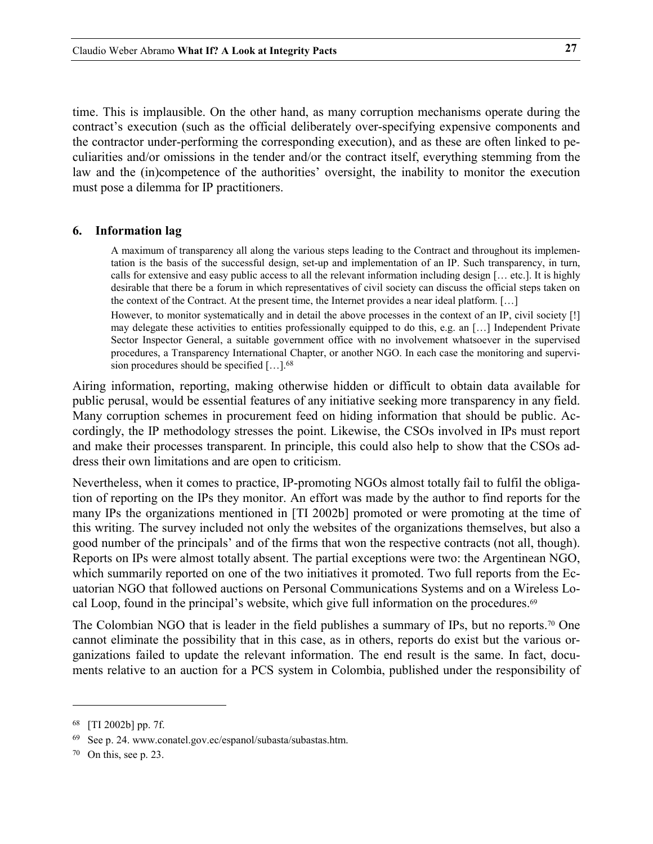<span id="page-26-0"></span>time. This is implausible. On the other hand, as many corruption mechanisms operate during the contract's execution (such as the official deliberately over-specifying expensive components and the contractor under-performing the corresponding execution), and as these are often linked to peculiarities and/or omissions in the tender and/or the contract itself, everything stemming from the law and the (in)competence of the authorities' oversight, the inability to monitor the execution must pose a dilemma for IP practitioners.

#### **6. Information lag**

A maximum of transparency all along the various steps leading to the Contract and throughout its implementation is the basis of the successful design, set-up and implementation of an IP. Such transparency, in turn, calls for extensive and easy public access to all the relevant information including design [… etc.]. It is highly desirable that there be a forum in which representatives of civil society can discuss the official steps taken on the context of the Contract. At the present time, the Internet provides a near ideal platform. […]

However, to monitor systematically and in detail the above processes in the context of an IP, civil society [!] may delegate these activities to entities professionally equipped to do this, e.g. an […] Independent Private Sector Inspector General, a suitable government office with no involvement whatsoever in the supervised procedures, a Transparency International Chapter, or another NGO. In each case the monitoring and supervision procedures should be specified […].[68](#page-26-1)

Airing information, reporting, making otherwise hidden or difficult to obtain data available for public perusal, would be essential features of any initiative seeking more transparency in any field. Many corruption schemes in procurement feed on hiding information that should be public. Accordingly, the IP methodology stresses the point. Likewise, the CSOs involved in IPs must report and make their processes transparent. In principle, this could also help to show that the CSOs address their own limitations and are open to criticism.

Nevertheless, when it comes to practice, IP-promoting NGOs almost totally fail to fulfil the obligation of reporting on the IPs they monitor. An effort was made by the author to find reports for the many IPs the organizations mentioned in [TI 2002b] promoted or were promoting at the time of this writing. The survey included not only the websites of the organizations themselves, but also a good number of the principals' and of the firms that won the respective contracts (not all, though). Reports on IPs were almost totally absent. The partial exceptions were two: the Argentinean NGO, which summarily reported on one of the two initiatives it promoted. Two full reports from the Ecuatorian NGO that followed auctions on Personal Communications Systems and on a Wireless Local Loop, found in the principal's website, which give full information on the procedures.<sup>69</sup>

The Colombian NGO that is leader in the field publishes a summary of IPs, but no reports.<sup>70</sup> One cannot eliminate the possibility that in this case, as in others, reports do exist but the various organizations failed to update the relevant information. The end result is the same. In fact, documents relative to an auction for a PCS system in Colombia, published under the responsibility of

<span id="page-26-1"></span><sup>68 [</sup>TI 2002b] pp. 7f.

<span id="page-26-2"></span><sup>69</sup> See p. 24. www.conatel.gov.ec/espanol/subasta/subastas.htm.

<span id="page-26-3"></span> $70$  On this, see p. 23.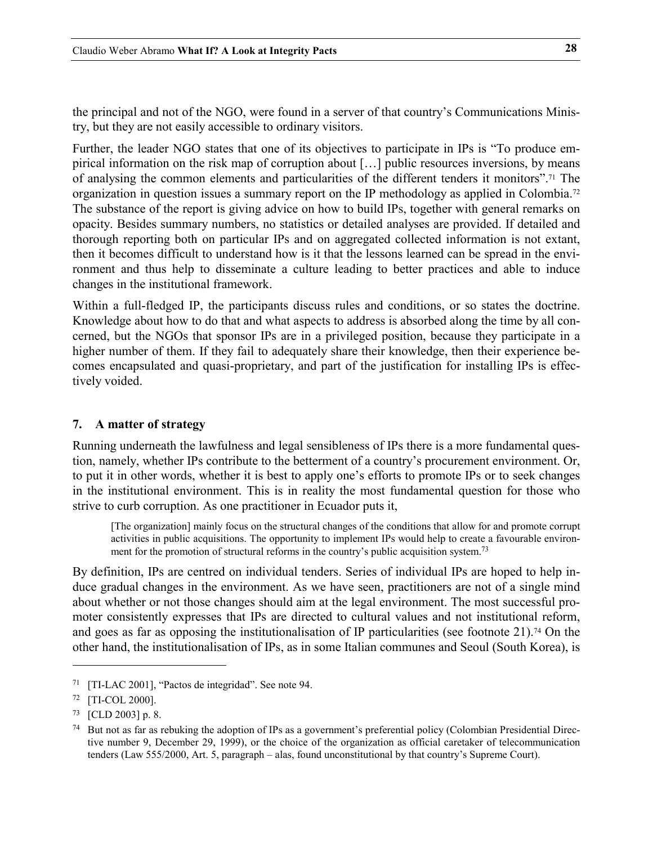<span id="page-27-0"></span>the principal and not of the NGO, were found in a server of that country's Communications Ministry, but they are not easily accessible to ordinary visitors.

Further, the leader NGO states that one of its objectives to participate in IPs is "To produce empirical information on the risk map of corruption about […] public resources inversions, by means of analysing the common elements and particularities of the different tenders it monitors". [71](#page-27-1) The organization in question issues a summary report on the IP methodology as applied in Colombia[.72](#page-27-2) The substance of the report is giving advice on how to build IPs, together with general remarks on opacity. Besides summary numbers, no statistics or detailed analyses are provided. If detailed and thorough reporting both on particular IPs and on aggregated collected information is not extant, then it becomes difficult to understand how is it that the lessons learned can be spread in the environment and thus help to disseminate a culture leading to better practices and able to induce changes in the institutional framework.

Within a full-fledged IP, the participants discuss rules and conditions, or so states the doctrine. Knowledge about how to do that and what aspects to address is absorbed along the time by all concerned, but the NGOs that sponsor IPs are in a privileged position, because they participate in a higher number of them. If they fail to adequately share their knowledge, then their experience becomes encapsulated and quasi-proprietary, and part of the justification for installing IPs is effectively voided.

# **7. A matter of strategy**

Running underneath the lawfulness and legal sensibleness of IPs there is a more fundamental question, namely, whether IPs contribute to the betterment of a country's procurement environment. Or, to put it in other words, whether it is best to apply one's efforts to promote IPs or to seek changes in the institutional environment. This is in reality the most fundamental question for those who strive to curb corruption. As one practitioner in Ecuador puts it,

[The organization] mainly focus on the structural changes of the conditions that allow for and promote corrupt activities in public acquisitions. The opportunity to implement IPs would help to create a favourable environ-ment for the promotion of structural reforms in the country's public acquisition system.<sup>[73](#page-27-3)</sup>

By definition, IPs are centred on individual tenders. Series of individual IPs are hoped to help induce gradual changes in the environment. As we have seen, practitioners are not of a single mind about whether or not those changes should aim at the legal environment. The most successful promoter consistently expresses that IPs are directed to cultural values and not institutional reform, and goes as far as opposing the institutionalisation of IP particularities (see footnote [21\)](#page-14-4).<sup>74</sup> On the other hand, the institutionalisation of IPs, as in some Italian communes and Seoul (South Korea), is

<span id="page-27-1"></span><sup>71 [</sup>TI-LAC 2001], "Pactos de integridad". See note 94.

<span id="page-27-2"></span><sup>72 [</sup>TI-COL 2000].

<span id="page-27-3"></span><sup>73 [</sup>CLD 2003] p. 8.

<span id="page-27-4"></span><sup>74</sup> But not as far as rebuking the adoption of IPs as a government's preferential policy (Colombian Presidential Directive number 9, December 29, 1999), or the choice of the organization as official caretaker of telecommunication tenders (Law 555/2000, Art. 5, paragraph – alas, found unconstitutional by that country's Supreme Court).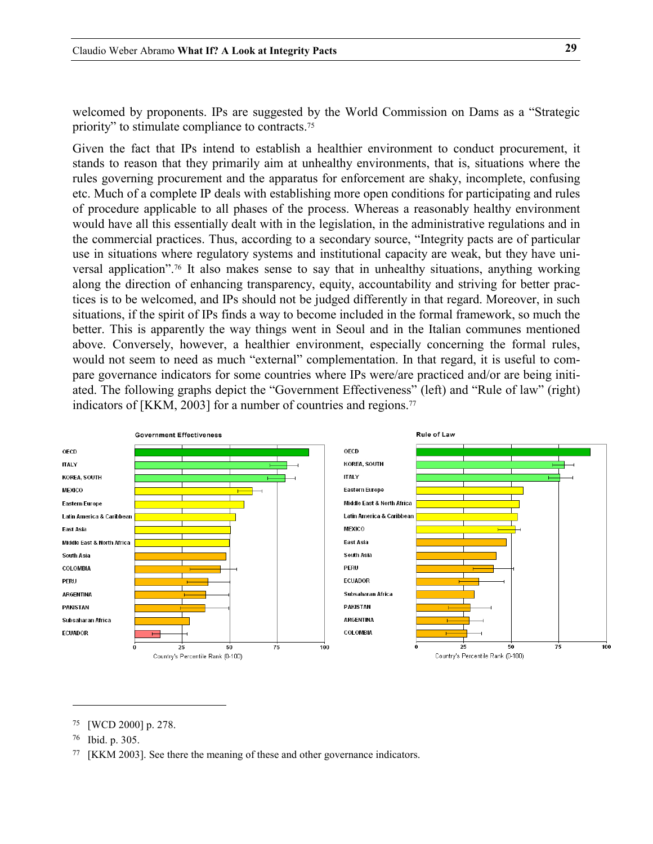welcomed by proponents. IPs are suggested by the World Commission on Dams as a "Strategic priority" to stimulate compliance to contracts[.75](#page-28-0)

Given the fact that IPs intend to establish a healthier environment to conduct procurement, it stands to reason that they primarily aim at unhealthy environments, that is, situations where the rules governing procurement and the apparatus for enforcement are shaky, incomplete, confusing etc. Much of a complete IP deals with establishing more open conditions for participating and rules of procedure applicable to all phases of the process. Whereas a reasonably healthy environment would have all this essentially dealt with in the legislation, in the administrative regulations and in the commercial practices. Thus, according to a secondary source, "Integrity pacts are of particular use in situations where regulatory systems and institutional capacity are weak, but they have universal application"[.76](#page-28-1) It also makes sense to say that in unhealthy situations, anything working along the direction of enhancing transparency, equity, accountability and striving for better practices is to be welcomed, and IPs should not be judged differently in that regard. Moreover, in such situations, if the spirit of IPs finds a way to become included in the formal framework, so much the better. This is apparently the way things went in Seoul and in the Italian communes mentioned above. Conversely, however, a healthier environment, especially concerning the formal rules, would not seem to need as much "external" complementation. In that regard, it is useful to compare governance indicators for some countries where IPs were/are practiced and/or are being initiated. The following graphs depict the "Government Effectiveness" (left) and "Rule of law" (right) indicators of [KKM, 2003] for a number of countries and regions.<sup>[77](#page-28-2)</sup>



<span id="page-28-0"></span><sup>75 [</sup>WCD 2000] p. 278.

<span id="page-28-1"></span><sup>76</sup> Ibid. p. 305.

<span id="page-28-2"></span><sup>77 [</sup>KKM 2003]. See there the meaning of these and other governance indicators.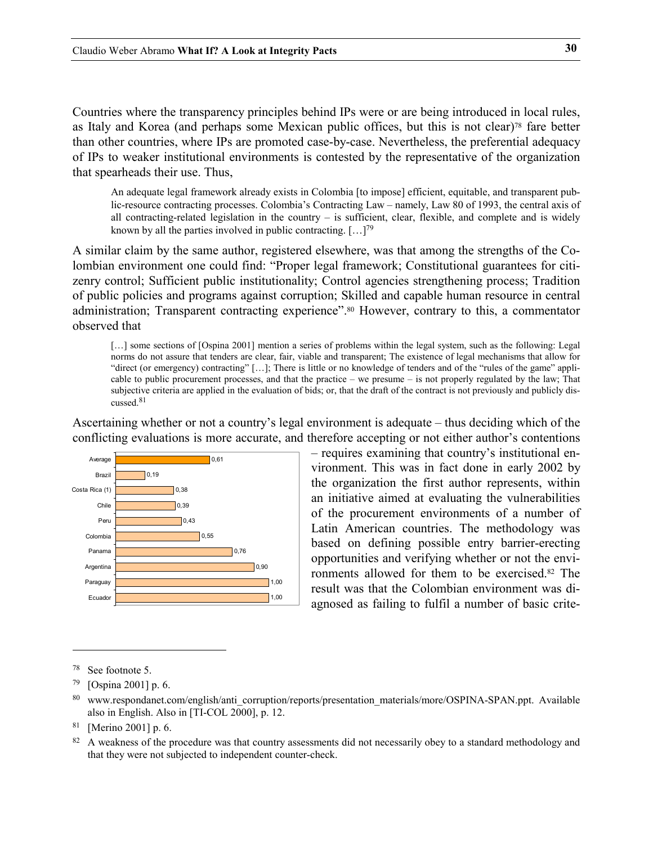Countries where the transparency principles behind IPs were or are being introduced in local rules, as Italy and Korea (and perhaps some Mexican public offices, but this is not clear[\)78](#page-29-0) fare better than other countries, where IPs are promoted case-by-case. Nevertheless, the preferential adequacy of IPs to weaker institutional environments is contested by the representative of the organization that spearheads their use. Thus,

An adequate legal framework already exists in Colombia [to impose] efficient, equitable, and transparent public-resource contracting processes. Colombia's Contracting Law – namely, Law 80 of 1993, the central axis of all contracting-related legislation in the country – is sufficient, clear, flexible, and complete and is widely known by all the parties involved in public contracting.  $[...]^{79}$  $[...]^{79}$  $[...]^{79}$ 

A similar claim by the same author, registered elsewhere, was that among the strengths of the Colombian environment one could find: "Proper legal framework; Constitutional guarantees for citizenry control; Sufficient public institutionality; Control agencies strengthening process; Tradition of public policies and programs against corruption; Skilled and capable human resource in central administration; Transparent contracting experience".[80](#page-29-2) However, contrary to this, a commentator observed that

[...] some sections of [Ospina 2001] mention a series of problems within the legal system, such as the following: Legal norms do not assure that tenders are clear, fair, viable and transparent; The existence of legal mechanisms that allow for "direct (or emergency) contracting" […]; There is little or no knowledge of tenders and of the "rules of the game" applicable to public procurement processes, and that the practice – we presume – is not properly regulated by the law; That subjective criteria are applied in the evaluation of bids; or, that the draft of the contract is not previously and publicly discussed. [81](#page-29-3)

Ascertaining whether or not a country's legal environment is adequate – thus deciding which of the conflicting evaluations is more accurate, and therefore accepting or not either author's contentions



– requires examining that country's institutional environment. This was in fact done in early 2002 by the organization the first author represents, within an initiative aimed at evaluating the vulnerabilities of the procurement environments of a number of Latin American countries. The methodology was based on defining possible entry barrier-erecting opportunities and verifying whether or not the environments allowed for them to be exercis[ed.](#page-29-4)82 The result was that the Colombian environment was di-<sup>1,00</sup> agnosed as failing to fulfil a number of basic crite-

<span id="page-29-0"></span><sup>78</sup> See footnote 5.

<span id="page-29-1"></span><sup>79 [</sup>Ospina 2001] p. 6.

<span id="page-29-2"></span><sup>80</sup> www.respondanet.com/english/anti\_corruption/reports/presentation\_materials/more/OSPINA-SPAN.ppt. Available also in English. Also in [TI-COL 2000], p. 12.

<span id="page-29-3"></span><sup>81 [</sup>Merino 2001] p. 6.

<span id="page-29-4"></span><sup>82</sup> A weakness of the procedure was that country assessments did not necessarily obey to a standard methodology and that they were not subjected to independent counter-check.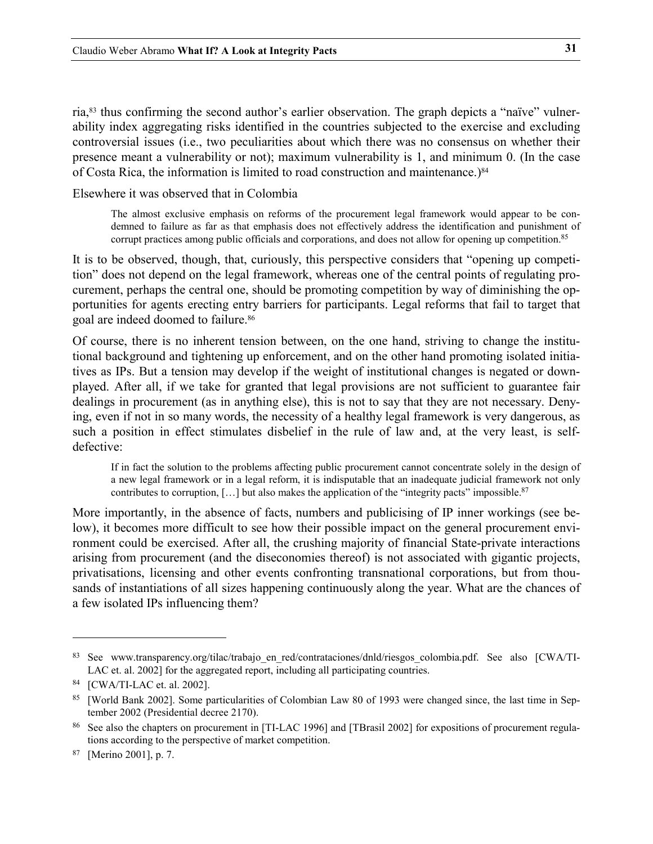ria,[83](#page-30-0) thus confirming the second author's earlier observation. The graph depicts a "naïve" vulnerability index aggregating risks identified in the countries subjected to the exercise and excluding controversial issues (i.e., two peculiarities about which there was no consensus on whether their presence meant a vulnerability or not); maximum vulnerability is 1, and minimum 0. (In the case of Costa Rica, the information is limited to road construction and maintenance.[\)84](#page-30-1)

Elsewhere it was observed that in Colombia

The almost exclusive emphasis on reforms of the procurement legal framework would appear to be condemned to failure as far as that emphasis does not effectively address the identification and punishment of corrupt practices among public officials and corporations, and does not allow for opening up competition.<sup>[85](#page-30-2)</sup>

It is to be observed, though, that, curiously, this perspective considers that "opening up competition" does not depend on the legal framework, whereas one of the central points of regulating procurement, perhaps the central one, should be promoting competition by way of diminishing the opportunities for agents erecting entry barriers for participants. Legal reforms that fail to target that goal are indeed doomed to failure.[86](#page-30-3)

Of course, there is no inherent tension between, on the one hand, striving to change the institutional background and tightening up enforcement, and on the other hand promoting isolated initiatives as IPs. But a tension may develop if the weight of institutional changes is negated or downplayed. After all, if we take for granted that legal provisions are not sufficient to guarantee fair dealings in procurement (as in anything else), this is not to say that they are not necessary. Denying, even if not in so many words, the necessity of a healthy legal framework is very dangerous, as such a position in effect stimulates disbelief in the rule of law and, at the very least, is selfdefective:

If in fact the solution to the problems affecting public procurement cannot concentrate solely in the design of a new legal framework or in a legal reform, it is indisputable that an inadequate judicial framework not only contributes to corruption,  $[\ldots]$  but also makes the application of the "integrity pacts" impossible.<sup>87</sup>

More importantly, in the absence of facts, numbers and publicising of IP inner workings (see below), it becomes more difficult to see how their possible impact on the general procurement environment could be exercised. After all, the crushing majority of financial State-private interactions arising from procurement (and the diseconomies thereof) is not associated with gigantic projects, privatisations, licensing and other events confronting transnational corporations, but from thousands of instantiations of all sizes happening continuously along the year. What are the chances of a few isolated IPs influencing them?

<span id="page-30-0"></span><sup>83</sup> See www.transparency.org/tilac/trabajo\_en\_red/contrataciones/dnld/riesgos\_colombia.pdf. See also [CWA/TI-LAC et. al. 2002] for the aggregated report, including all participating countries.

<span id="page-30-1"></span><sup>84 [</sup>CWA/TI-LAC et. al. 2002].

<span id="page-30-2"></span><sup>85</sup> [World Bank 2002]. Some particularities of Colombian Law 80 of 1993 were changed since, the last time in September 2002 (Presidential decree 2170).

<span id="page-30-3"></span><sup>86</sup> See also the chapters on procurement in [TI-LAC 1996] and [TBrasil 2002] for expositions of procurement regulations according to the perspective of market competition.

<span id="page-30-4"></span><sup>87 [</sup>Merino 2001], p. 7.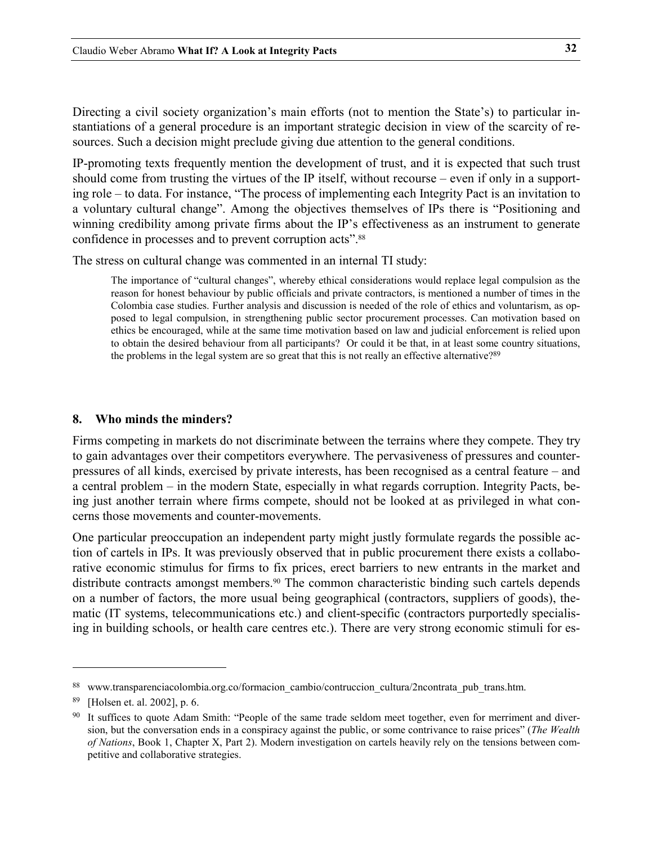<span id="page-31-0"></span>Directing a civil society organization's main efforts (not to mention the State's) to particular instantiations of a general procedure is an important strategic decision in view of the scarcity of resources. Such a decision might preclude giving due attention to the general conditions.

IP-promoting texts frequently mention the development of trust, and it is expected that such trust should come from trusting the virtues of the IP itself, without recourse – even if only in a supporting role – to data. For instance, "The process of implementing each Integrity Pact is an invitation to a voluntary cultural change". Among the objectives themselves of IPs there is "Positioning and winning credibility among private firms about the IP's effectiveness as an instrument to generate confidence in processes and to prevent corruption acts"[.88](#page-31-1)

The stress on cultural change was commented in an internal TI study:

The importance of "cultural changes", whereby ethical considerations would replace legal compulsion as the reason for honest behaviour by public officials and private contractors, is mentioned a number of times in the Colombia case studies. Further analysis and discussion is needed of the role of ethics and voluntarism, as opposed to legal compulsion, in strengthening public sector procurement processes. Can motivation based on ethics be encouraged, while at the same time motivation based on law and judicial enforcement is relied upon to obtain the desired behaviour from all participants? Or could it be that, in at least some country situations, the problems in the legal system are so great that this is not really an effective alternative?<sup>[89](#page-31-2)</sup>

#### **8. Who minds the minders?**

Firms competing in markets do not discriminate between the terrains where they compete. They try to gain advantages over their competitors everywhere. The pervasiveness of pressures and counterpressures of all kinds, exercised by private interests, has been recognised as a central feature – and a central problem – in the modern State, especially in what regards corruption. Integrity Pacts, being just another terrain where firms compete, should not be looked at as privileged in what concerns those movements and counter-movements.

One particular preoccupation an independent party might justly formulate regards the possible action of cartels in IPs. It was previously observed that in public procurement there exists a collaborative economic stimulus for firms to fix prices, erect barriers to new entrants in the market and distribute contracts amongst members[.90](#page-31-3) The common characteristic binding such cartels depends on a number of factors, the more usual being geographical (contractors, suppliers of goods), thematic (IT systems, telecommunications etc.) and client-specific (contractors purportedly specialising in building schools, or health care centres etc.). There are very strong economic stimuli for es-

<span id="page-31-1"></span><sup>88</sup> www.transparenciacolombia.org.co/formacion cambio/contruccion cultura/2ncontrata pub trans.htm.

<span id="page-31-2"></span><sup>89 [</sup>Holsen et. al. 2002], p. 6.

<span id="page-31-3"></span><sup>&</sup>lt;sup>90</sup> It suffices to quote Adam Smith: "People of the same trade seldom meet together, even for merriment and diversion, but the conversation ends in a conspiracy against the public, or some contrivance to raise prices" (*The Wealth of Nations*, Book 1, Chapter X, Part 2). Modern investigation on cartels heavily rely on the tensions between competitive and collaborative strategies.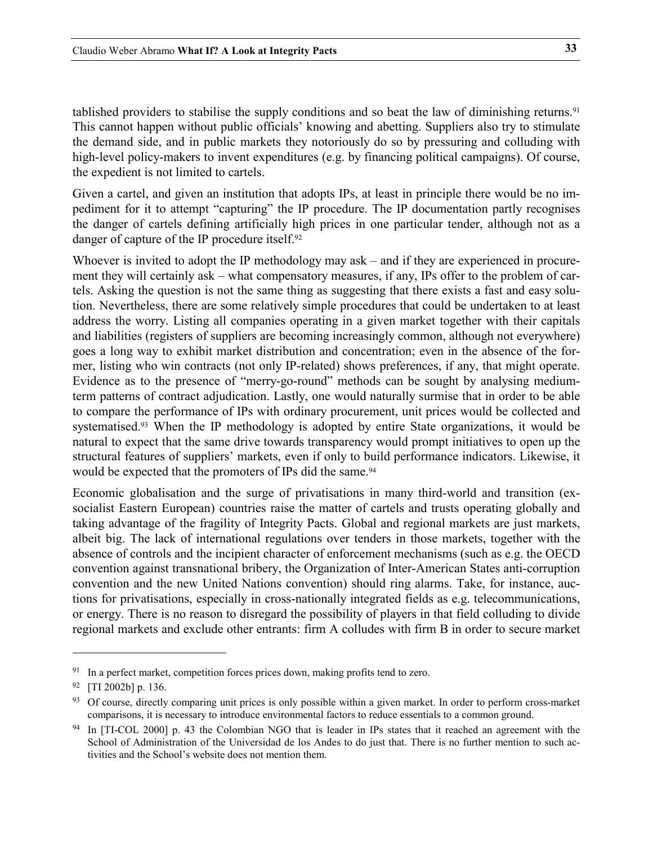tablished providers to stabilise the supply conditions and so beat the law of diminishing returns[.91](#page-32-0) This cannot happen without public officials' knowing and abetting. Suppliers also try to stimulate the demand side, and in public markets they notoriously do so by pressuring and colluding with high-level policy-makers to invent expenditures (e.g. by financing political campaigns). Of course, the expedient is not limited to cartels.

Given a cartel, and given an institution that adopts IPs, at least in principle there would be no impediment for it to attempt "capturing" the IP procedure. The IP documentation partly recognises the danger of cartels defining artificially high prices in one particular tender, although not as a danger of capture of the IP procedure itself[.92](#page-32-1)

Whoever is invited to adopt the IP methodology may ask – and if they are experienced in procurement they will certainly ask – what compensatory measures, if any, IPs offer to the problem of cartels. Asking the question is not the same thing as suggesting that there exists a fast and easy solution. Nevertheless, there are some relatively simple procedures that could be undertaken to at least address the worry. Listing all companies operating in a given market together with their capitals and liabilities (registers of suppliers are becoming increasingly common, although not everywhere) goes a long way to exhibit market distribution and concentration; even in the absence of the former, listing who win contracts (not only IP-related) shows preferences, if any, that might operate. Evidence as to the presence of "merry-go-round" methods can be sought by analysing mediumterm patterns of contract adjudication. Lastly, one would naturally surmise that in order to be able to compare the performance of IPs with ordinary procurement, unit prices would be collected and systematised.<sup>93</sup> When the IP methodology is adopted by entire State organizations, it would be natural to expect that the same drive towards transparency would prompt initiatives to open up the structural features of suppliers' markets, even if only to build performance indicators. Likewise, it would be expected that the promoters of IPs did the same.<sup>[94](#page-32-3)</sup>

Economic globalisation and the surge of privatisations in many third-world and transition (exsocialist Eastern European) countries raise the matter of cartels and trusts operating globally and taking advantage of the fragility of Integrity Pacts. Global and regional markets are just markets, albeit big. The lack of international regulations over tenders in those markets, together with the absence of controls and the incipient character of enforcement mechanisms (such as e.g. the OECD convention against transnational bribery, the Organization of Inter-American States anti-corruption convention and the new United Nations convention) should ring alarms. Take, for instance, auctions for privatisations, especially in cross-nationally integrated fields as e.g. telecommunications, or energy. There is no reason to disregard the possibility of players in that field colluding to divide regional markets and exclude other entrants: firm A colludes with firm B in order to secure market

<span id="page-32-0"></span><sup>&</sup>lt;sup>91</sup> In a perfect market, competition forces prices down, making profits tend to zero.

<span id="page-32-1"></span><sup>92 [</sup>TI 2002b] p. 136.

<span id="page-32-2"></span><sup>&</sup>lt;sup>93</sup> Of course, directly comparing unit prices is only possible within a given market. In order to perform cross-market comparisons, it is necessary to introduce environmental factors to reduce essentials to a common ground.

<span id="page-32-3"></span><sup>94</sup> In [TI-COL 2000] p. 43 the Colombian NGO that is leader in IPs states that it reached an agreement with the School of Administration of the Universidad de los Andes to do just that. There is no further mention to such activities and the School's website does not mention them.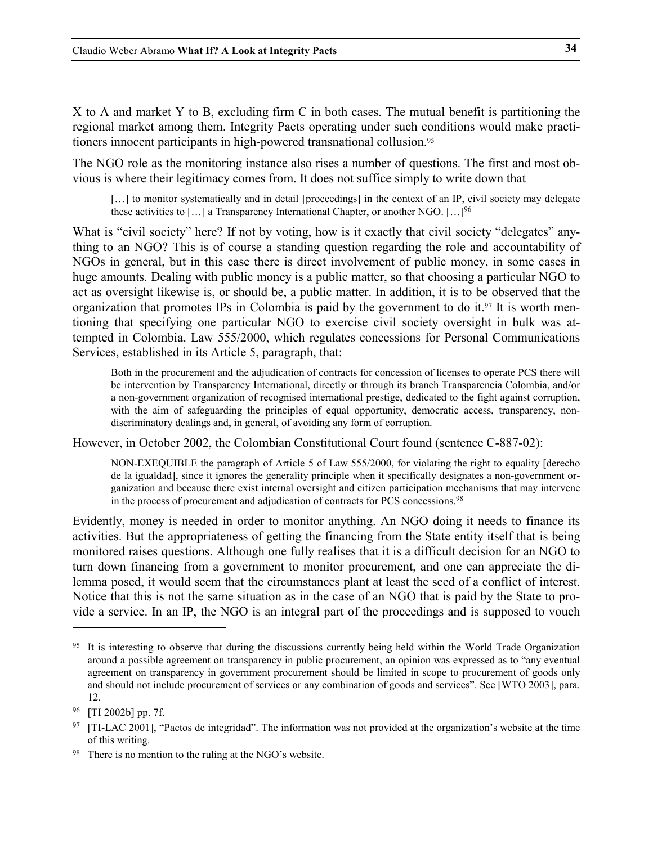X to A and market Y to B, excluding firm C in both cases. The mutual benefit is partitioning the regional market among them. Integrity Pacts operating under such conditions would make practitioners innocent participants in high-powered transnational collusion[.95](#page-33-0)

The NGO role as the monitoring instance also rises a number of questions. The first and most obvious is where their legitimacy comes from. It does not suffice simply to write down that

[...] to monitor systematically and in detail [proceedings] in the context of an IP, civil society may delegate these activities to  $[\dots]$  a Transparency International Chapter, or another NGO.  $[\dots]^{96}$ 

What is "civil society" here? If not by voting, how is it exactly that civil society "delegates" anything to an NGO? This is of course a standing question regarding the role and accountability of NGOs in general, but in this case there is direct involvement of public money, in some cases in huge amounts. Dealing with public money is a public matter, so that choosing a particular NGO to act as oversight likewise is, or should be, a public matter. In addition, it is to be observed that the organization that promotes IPs in Colombia is paid by the government to do it.<sup>97</sup> It is worth mentioning that specifying one particular NGO to exercise civil society oversight in bulk was attempted in Colombia. Law 555/2000, which regulates concessions for Personal Communications Services, established in its Article 5, paragraph, that:

Both in the procurement and the adjudication of contracts for concession of licenses to operate PCS there will be intervention by Transparency International, directly or through its branch Transparencia Colombia, and/or a non-government organization of recognised international prestige, dedicated to the fight against corruption, with the aim of safeguarding the principles of equal opportunity, democratic access, transparency, nondiscriminatory dealings and, in general, of avoiding any form of corruption.

However, in October 2002, the Colombian Constitutional Court found (sentence C-887-02):

NON-EXEQUIBLE the paragraph of Article 5 of Law 555/2000, for violating the right to equality [derecho de la igualdad], since it ignores the generality principle when it specifically designates a non-government organization and because there exist internal oversight and citizen participation mechanisms that may intervene in the process of procurement and adjudication of contracts for PCS concessions. [98](#page-33-3)

Evidently, money is needed in order to monitor anything. An NGO doing it needs to finance its activities. But the appropriateness of getting the financing from the State entity itself that is being monitored raises questions. Although one fully realises that it is a difficult decision for an NGO to turn down financing from a government to monitor procurement, and one can appreciate the dilemma posed, it would seem that the circumstances plant at least the seed of a conflict of interest. Notice that this is not the same situation as in the case of an NGO that is paid by the State to provide a service. In an IP, the NGO is an integral part of the proceedings and is supposed to vouch

<span id="page-33-0"></span><sup>&</sup>lt;sup>95</sup> It is interesting to observe that during the discussions currently being held within the World Trade Organization around a possible agreement on transparency in public procurement, an opinion was expressed as to "any eventual agreement on transparency in government procurement should be limited in scope to procurement of goods only and should not include procurement of services or any combination of goods and services". See [WTO 2003], para. 12.

<span id="page-33-1"></span><sup>96 [</sup>TI 2002b] pp. 7f.

<span id="page-33-2"></span><sup>&</sup>lt;sup>97</sup> [TI-LAC 2001], "Pactos de integridad". The information was not provided at the organization's website at the time of this writing.

<span id="page-33-3"></span><sup>98</sup> There is no mention to the ruling at the NGO's website.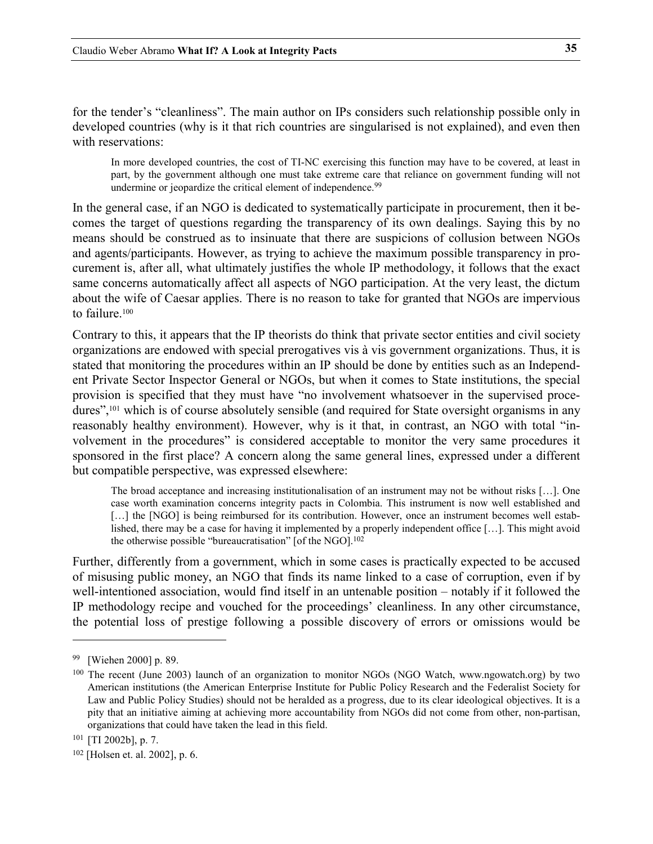for the tender's "cleanliness". The main author on IPs considers such relationship possible only in developed countries (why is it that rich countries are singularised is not explained), and even then with reservations:

In more developed countries, the cost of TI-NC exercising this function may have to be covered, at least in part, by the government although one must take extreme care that reliance on government funding will not undermine or jeopardize the critical element of independence.<sup>99</sup>

In the general case, if an NGO is dedicated to systematically participate in procurement, then it becomes the target of questions regarding the transparency of its own dealings. Saying this by no means should be construed as to insinuate that there are suspicions of collusion between NGOs and agents/participants. However, as trying to achieve the maximum possible transparency in procurement is, after all, what ultimately justifies the whole IP methodology, it follows that the exact same concerns automatically affect all aspects of NGO participation. At the very least, the dictum about the wife of Caesar applies. There is no reason to take for granted that NGOs are impervious to failure.<sup>100</sup>

Contrary to this, it appears that the IP theorists do think that private sector entities and civil society organizations are endowed with special prerogatives vis à vis government organizations. Thus, it is stated that monitoring the procedures within an IP should be done by entities such as an Independent Private Sector Inspector General or NGOs, but when it comes to State institutions, the special provision is specified that they must have "no involvement whatsoever in the supervised procedures"[,101](#page-34-2) which is of course absolutely sensible (and required for State oversight organisms in any reasonably healthy environment). However, why is it that, in contrast, an NGO with total "involvement in the procedures" is considered acceptable to monitor the very same procedures it sponsored in the first place? A concern along the same general lines, expressed under a different but compatible perspective, was expressed elsewhere:

The broad acceptance and increasing institutionalisation of an instrument may not be without risks […]. One case worth examination concerns integrity pacts in Colombia. This instrument is now well established and [...] the [NGO] is being reimbursed for its contribution. However, once an instrument becomes well established, there may be a case for having it implemented by a properly independent office […]. This might avoid the otherwise possible "bureaucratisation" [of the NGO].<sup>[102](#page-34-3)</sup>

Further, differently from a government, which in some cases is practically expected to be accused of misusing public money, an NGO that finds its name linked to a case of corruption, even if by well-intentioned association, would find itself in an untenable position – notably if it followed the IP methodology recipe and vouched for the proceedings' cleanliness. In any other circumstance, the potential loss of prestige following a possible discovery of errors or omissions would be

<span id="page-34-0"></span><sup>99 [</sup>Wiehen 2000] p. 89.

<span id="page-34-1"></span><sup>100</sup> The recent (June 2003) launch of an organization to monitor NGOs (NGO Watch, www.ngowatch.org) by two American institutions (the American Enterprise Institute for Public Policy Research and the Federalist Society for Law and Public Policy Studies) should not be heralded as a progress, due to its clear ideological objectives. It is a pity that an initiative aiming at achieving more accountability from NGOs did not come from other, non-partisan, organizations that could have taken the lead in this field.

<span id="page-34-2"></span><sup>101 [</sup>TI 2002b], p. 7.

<span id="page-34-3"></span><sup>102 [</sup>Holsen et. al. 2002], p. 6.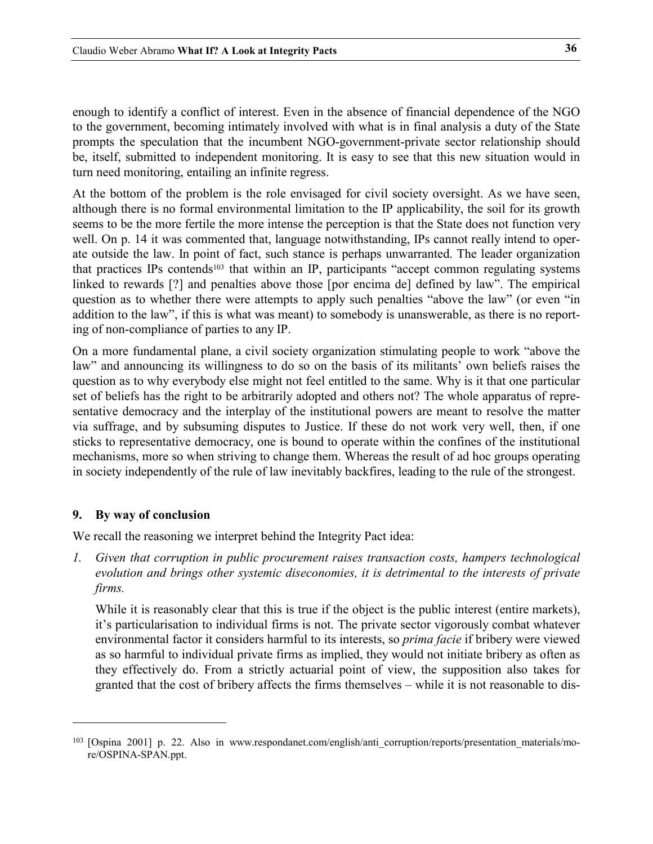<span id="page-35-0"></span>enough to identify a conflict of interest. Even in the absence of financial dependence of the NGO to the government, becoming intimately involved with what is in final analysis a duty of the State prompts the speculation that the incumbent NGO-government-private sector relationship should be, itself, submitted to independent monitoring. It is easy to see that this new situation would in turn need monitoring, entailing an infinite regress.

At the bottom of the problem is the role envisaged for civil society oversight. As we have seen, although there is no formal environmental limitation to the IP applicability, the soil for its growth seems to be the more fertile the more intense the perception is that the State does not function very well. On p. [14](#page-13-4) it was commented that, language notwithstanding, IPs cannot really intend to operate outside the law. In point of fact, such stance is perhaps unwarranted. The leader organization that practices IPs contends[103](#page-35-1) that within an IP, participants "accept common regulating systems linked to rewards [?] and penalties above those [por encima de] defined by law". The empirical question as to whether there were attempts to apply such penalties "above the law" (or even "in addition to the law", if this is what was meant) to somebody is unanswerable, as there is no reporting of non-compliance of parties to any IP.

On a more fundamental plane, a civil society organization stimulating people to work "above the law" and announcing its willingness to do so on the basis of its militants' own beliefs raises the question as to why everybody else might not feel entitled to the same. Why is it that one particular set of beliefs has the right to be arbitrarily adopted and others not? The whole apparatus of representative democracy and the interplay of the institutional powers are meant to resolve the matter via suffrage, and by subsuming disputes to Justice. If these do not work very well, then, if one sticks to representative democracy, one is bound to operate within the confines of the institutional mechanisms, more so when striving to change them. Whereas the result of ad hoc groups operating in society independently of the rule of law inevitably backfires, leading to the rule of the strongest.

#### **9. By way of conclusion**

j

We recall the reasoning we interpret behind the Integrity Pact idea:

*1. Given that corruption in public procurement raises transaction costs, hampers technological evolution and brings other systemic diseconomies, it is detrimental to the interests of private firms.* 

While it is reasonably clear that this is true if the object is the public interest (entire markets), it's particularisation to individual firms is not. The private sector vigorously combat whatever environmental factor it considers harmful to its interests, so *prima facie* if bribery were viewed as so harmful to individual private firms as implied, they would not initiate bribery as often as they effectively do. From a strictly actuarial point of view, the supposition also takes for granted that the cost of bribery affects the firms themselves – while it is not reasonable to dis-

<span id="page-35-1"></span><sup>&</sup>lt;sup>103</sup> [Ospina 2001] p. 22. Also in www.respondanet.com/english/anti\_corruption/reports/presentation\_materials/more/OSPINA-SPAN.ppt.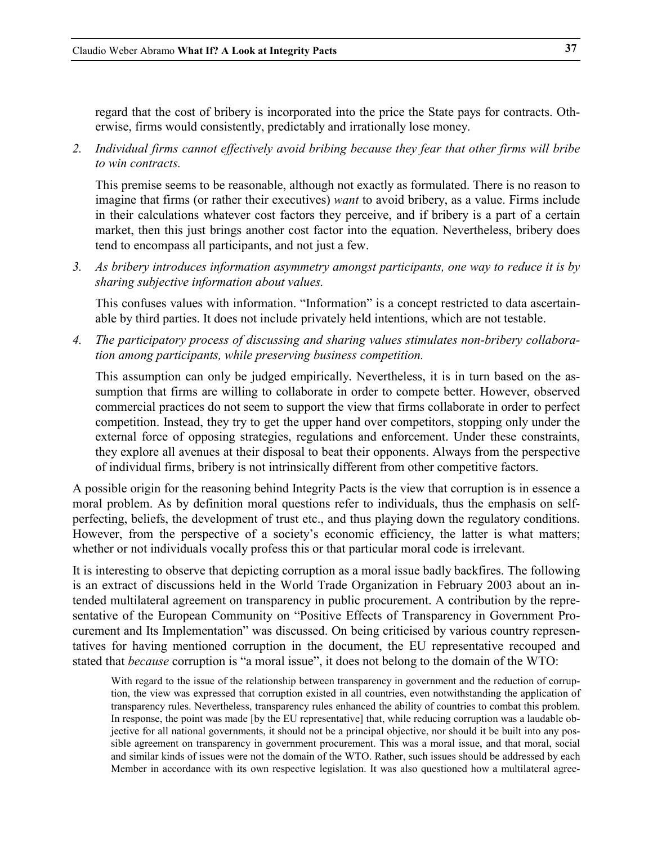regard that the cost of bribery is incorporated into the price the State pays for contracts. Otherwise, firms would consistently, predictably and irrationally lose money.

*2. Individual firms cannot effectively avoid bribing because they fear that other firms will bribe to win contracts.* 

This premise seems to be reasonable, although not exactly as formulated. There is no reason to imagine that firms (or rather their executives) *want* to avoid bribery, as a value. Firms include in their calculations whatever cost factors they perceive, and if bribery is a part of a certain market, then this just brings another cost factor into the equation. Nevertheless, bribery does tend to encompass all participants, and not just a few.

*3. As bribery introduces information asymmetry amongst participants, one way to reduce it is by sharing subjective information about values.* 

This confuses values with information. "Information" is a concept restricted to data ascertainable by third parties. It does not include privately held intentions, which are not testable.

*4. The participatory process of discussing and sharing values stimulates non-bribery collaboration among participants, while preserving business competition.* 

This assumption can only be judged empirically. Nevertheless, it is in turn based on the assumption that firms are willing to collaborate in order to compete better. However, observed commercial practices do not seem to support the view that firms collaborate in order to perfect competition. Instead, they try to get the upper hand over competitors, stopping only under the external force of opposing strategies, regulations and enforcement. Under these constraints, they explore all avenues at their disposal to beat their opponents. Always from the perspective of individual firms, bribery is not intrinsically different from other competitive factors.

A possible origin for the reasoning behind Integrity Pacts is the view that corruption is in essence a moral problem. As by definition moral questions refer to individuals, thus the emphasis on selfperfecting, beliefs, the development of trust etc., and thus playing down the regulatory conditions. However, from the perspective of a society's economic efficiency, the latter is what matters; whether or not individuals vocally profess this or that particular moral code is irrelevant.

It is interesting to observe that depicting corruption as a moral issue badly backfires. The following is an extract of discussions held in the World Trade Organization in February 2003 about an intended multilateral agreement on transparency in public procurement. A contribution by the representative of the European Community on "Positive Effects of Transparency in Government Procurement and Its Implementation" was discussed. On being criticised by various country representatives for having mentioned corruption in the document, the EU representative recouped and stated that *because* corruption is "a moral issue", it does not belong to the domain of the WTO:

With regard to the issue of the relationship between transparency in government and the reduction of corruption, the view was expressed that corruption existed in all countries, even notwithstanding the application of transparency rules. Nevertheless, transparency rules enhanced the ability of countries to combat this problem. In response, the point was made [by the EU representative] that, while reducing corruption was a laudable objective for all national governments, it should not be a principal objective, nor should it be built into any possible agreement on transparency in government procurement. This was a moral issue, and that moral, social and similar kinds of issues were not the domain of the WTO. Rather, such issues should be addressed by each Member in accordance with its own respective legislation. It was also questioned how a multilateral agree-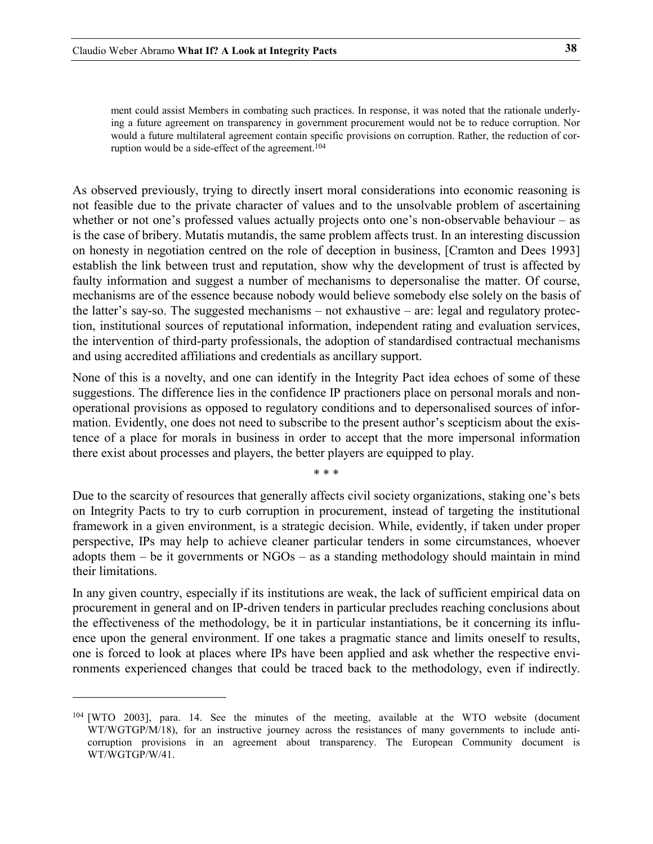$\ddot{\phantom{a}}$ 

ment could assist Members in combating such practices. In response, it was noted that the rationale underlying a future agreement on transparency in government procurement would not be to reduce corruption. Nor would a future multilateral agreement contain specific provisions on corruption. Rather, the reduction of corruption would be a side-effect of the agreement.<sup>104</sup>

As observed previously, trying to directly insert moral considerations into economic reasoning is not feasible due to the private character of values and to the unsolvable problem of ascertaining whether or not one's professed values actually projects onto one's non-observable behaviour – as is the case of bribery. Mutatis mutandis, the same problem affects trust. In an interesting discussion on honesty in negotiation centred on the role of deception in business, [Cramton and Dees 1993] establish the link between trust and reputation, show why the development of trust is affected by faulty information and suggest a number of mechanisms to depersonalise the matter. Of course, mechanisms are of the essence because nobody would believe somebody else solely on the basis of the latter's say-so. The suggested mechanisms – not exhaustive – are: legal and regulatory protection, institutional sources of reputational information, independent rating and evaluation services, the intervention of third-party professionals, the adoption of standardised contractual mechanisms and using accredited affiliations and credentials as ancillary support.

None of this is a novelty, and one can identify in the Integrity Pact idea echoes of some of these suggestions. The difference lies in the confidence IP practioners place on personal morals and nonoperational provisions as opposed to regulatory conditions and to depersonalised sources of information. Evidently, one does not need to subscribe to the present author's scepticism about the existence of a place for morals in business in order to accept that the more impersonal information there exist about processes and players, the better players are equipped to play.

\* \* \*

Due to the scarcity of resources that generally affects civil society organizations, staking one's bets on Integrity Pacts to try to curb corruption in procurement, instead of targeting the institutional framework in a given environment, is a strategic decision. While, evidently, if taken under proper perspective, IPs may help to achieve cleaner particular tenders in some circumstances, whoever adopts them – be it governments or NGOs – as a standing methodology should maintain in mind their limitations.

In any given country, especially if its institutions are weak, the lack of sufficient empirical data on procurement in general and on IP-driven tenders in particular precludes reaching conclusions about the effectiveness of the methodology, be it in particular instantiations, be it concerning its influence upon the general environment. If one takes a pragmatic stance and limits oneself to results, one is forced to look at places where IPs have been applied and ask whether the respective environments experienced changes that could be traced back to the methodology, even if indirectly.

<span id="page-37-0"></span><sup>104</sup> [WTO 2003], para. 14. See the minutes of the meeting, available at the WTO website (document WT/WGTGP/M/18), for an instructive journey across the resistances of many governments to include anticorruption provisions in an agreement about transparency. The European Community document is WT/WGTGP/W/41.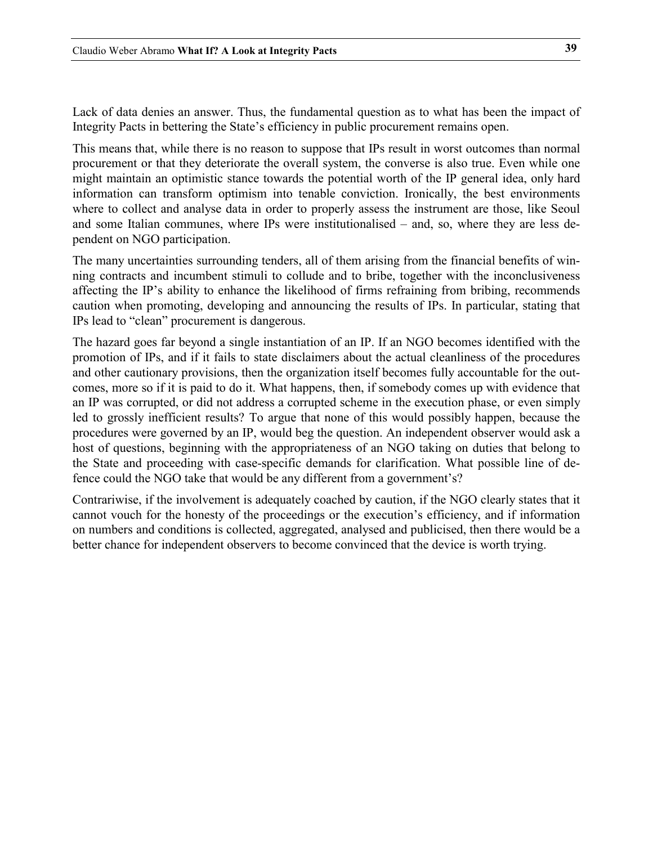Lack of data denies an answer. Thus, the fundamental question as to what has been the impact of Integrity Pacts in bettering the State's efficiency in public procurement remains open.

This means that, while there is no reason to suppose that IPs result in worst outcomes than normal procurement or that they deteriorate the overall system, the converse is also true. Even while one might maintain an optimistic stance towards the potential worth of the IP general idea, only hard information can transform optimism into tenable conviction. Ironically, the best environments where to collect and analyse data in order to properly assess the instrument are those, like Seoul and some Italian communes, where IPs were institutionalised – and, so, where they are less dependent on NGO participation.

The many uncertainties surrounding tenders, all of them arising from the financial benefits of winning contracts and incumbent stimuli to collude and to bribe, together with the inconclusiveness affecting the IP's ability to enhance the likelihood of firms refraining from bribing, recommends caution when promoting, developing and announcing the results of IPs. In particular, stating that IPs lead to "clean" procurement is dangerous.

The hazard goes far beyond a single instantiation of an IP. If an NGO becomes identified with the promotion of IPs, and if it fails to state disclaimers about the actual cleanliness of the procedures and other cautionary provisions, then the organization itself becomes fully accountable for the outcomes, more so if it is paid to do it. What happens, then, if somebody comes up with evidence that an IP was corrupted, or did not address a corrupted scheme in the execution phase, or even simply led to grossly inefficient results? To argue that none of this would possibly happen, because the procedures were governed by an IP, would beg the question. An independent observer would ask a host of questions, beginning with the appropriateness of an NGO taking on duties that belong to the State and proceeding with case-specific demands for clarification. What possible line of defence could the NGO take that would be any different from a government's?

Contrariwise, if the involvement is adequately coached by caution, if the NGO clearly states that it cannot vouch for the honesty of the proceedings or the execution's efficiency, and if information on numbers and conditions is collected, aggregated, analysed and publicised, then there would be a better chance for independent observers to become convinced that the device is worth trying.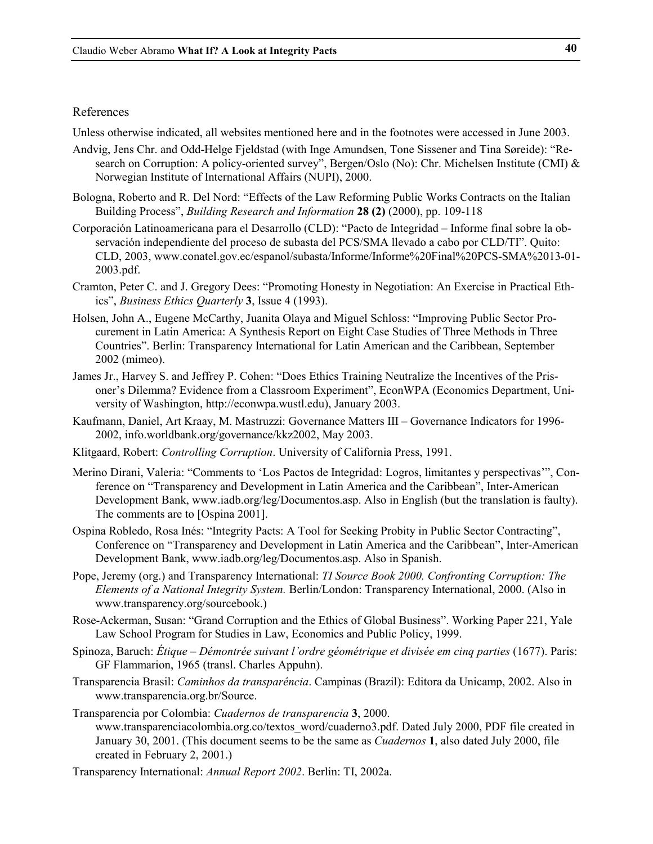#### References

Unless otherwise indicated, all websites mentioned here and in the footnotes were accessed in June 2003.

- Andvig, Jens Chr. and Odd-Helge Fjeldstad (with Inge Amundsen, Tone Sissener and Tina Søreide): "Research on Corruption: A policy-oriented survey", Bergen/Oslo (No): Chr. Michelsen Institute (CMI) & Norwegian Institute of International Affairs (NUPI), 2000.
- Bologna, Roberto and R. Del Nord: "Effects of the Law Reforming Public Works Contracts on the Italian Building Process", *Building Research and Information* **28 (2)** (2000), pp. 109-118
- Corporación Latinoamericana para el Desarrollo (CLD): "Pacto de Integridad Informe final sobre la observación independiente del proceso de subasta del PCS/SMA llevado a cabo por CLD/TI". Quito: CLD, 2003, www.conatel.gov.ec/espanol/subasta/Informe/Informe%20Final%20PCS-SMA%2013-01- 2003.pdf.
- Cramton, Peter C. and J. Gregory Dees: "Promoting Honesty in Negotiation: An Exercise in Practical Ethics", *Business Ethics Quarterly* **3**, Issue 4 (1993).
- Holsen, John A., Eugene McCarthy, Juanita Olaya and Miguel Schloss: "Improving Public Sector Procurement in Latin America: A Synthesis Report on Eight Case Studies of Three Methods in Three Countries". Berlin: Transparency International for Latin American and the Caribbean, September 2002 (mimeo).
- James Jr., Harvey S. and Jeffrey P. Cohen: "Does Ethics Training Neutralize the Incentives of the Prisoner's Dilemma? Evidence from a Classroom Experiment", EconWPA (Economics Department, University of Washington, http://econwpa.wustl.edu), January 2003.
- Kaufmann, Daniel, Art Kraay, M. Mastruzzi: Governance Matters III Governance Indicators for 1996- 2002, info.worldbank.org/governance/kkz2002, May 2003.
- Klitgaard, Robert: *Controlling Corruption*. University of California Press, 1991.
- Merino Dirani, Valeria: "Comments to 'Los Pactos de Integridad: Logros, limitantes y perspectivas'", Conference on "Transparency and Development in Latin America and the Caribbean", Inter-American Development Bank, www.iadb.org/leg/Documentos.asp. Also in English (but the translation is faulty). The comments are to [Ospina 2001].
- Ospina Robledo, Rosa Inés: "Integrity Pacts: A Tool for Seeking Probity in Public Sector Contracting", Conference on "Transparency and Development in Latin America and the Caribbean", Inter-American Development Bank, www.iadb.org/leg/Documentos.asp. Also in Spanish.
- Pope, Jeremy (org.) and Transparency International: *TI Source Book 2000. Confronting Corruption: The Elements of a National Integrity System.* Berlin/London: Transparency International, 2000. (Also in www.transparency.org/sourcebook.)
- Rose-Ackerman, Susan: "Grand Corruption and the Ethics of Global Business". Working Paper 221, Yale Law School Program for Studies in Law, Economics and Public Policy, 1999.
- Spinoza, Baruch: *Étique Démontrée suivant l'ordre géométrique et divisée em cinq parties* (1677). Paris: GF Flammarion, 1965 (transl. Charles Appuhn).
- Transparencia Brasil: *Caminhos da transparência*. Campinas (Brazil): Editora da Unicamp, 2002. Also in www.transparencia.org.br/Source.

Transparencia por Colombia: *Cuadernos de transparencia* **3**, 2000. www.transparenciacolombia.org.co/textos\_word/cuaderno3.pdf. Dated July 2000, PDF file created in January 30, 2001. (This document seems to be the same as *Cuadernos* **1**, also dated July 2000, file created in February 2, 2001.)

Transparency International: *Annual Report 2002*. Berlin: TI, 2002a.